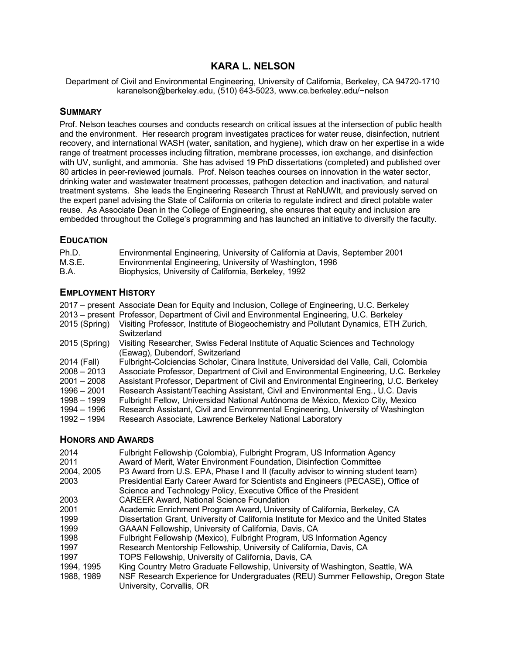# **KARA L. NELSON**

Department of Civil and Environmental Engineering, University of California, Berkeley, CA 94720-1710 karanelson@berkeley.edu, (510) 643-5023, www.ce.berkeley.edu/~nelson

#### **SUMMARY**

Prof. Nelson teaches courses and conducts research on critical issues at the intersection of public health and the environment. Her research program investigates practices for water reuse, disinfection, nutrient recovery, and international WASH (water, sanitation, and hygiene), which draw on her expertise in a wide range of treatment processes including filtration, membrane processes, ion exchange, and disinfection with UV, sunlight, and ammonia. She has advised 19 PhD dissertations (completed) and published over 80 articles in peer-reviewed journals. Prof. Nelson teaches courses on innovation in the water sector, drinking water and wastewater treatment processes, pathogen detection and inactivation, and natural treatment systems. She leads the Engineering Research Thrust at ReNUWIt, and previously served on the expert panel advising the State of California on criteria to regulate indirect and direct potable water reuse. As Associate Dean in the College of Engineering, she ensures that equity and inclusion are embedded throughout the College's programming and has launched an initiative to diversify the faculty.

## **EDUCATION**

| Ph.D.<br>Environmental Engineering, University of California at Davis, September 2001 |  |
|---------------------------------------------------------------------------------------|--|
|---------------------------------------------------------------------------------------|--|

- M.S.E. Environmental Engineering, University of Washington, 1996
- B.A. Biophysics, University of California, Berkeley, 1992

## **EMPLOYMENT HISTORY**

| 2017 – present Associate Dean for Equity and Inclusion, College of Engineering, U.C. Berkeley<br>2013 – present Professor, Department of Civil and Environmental Engineering, U.C. Berkeley |
|---------------------------------------------------------------------------------------------------------------------------------------------------------------------------------------------|
| Visiting Professor, Institute of Biogeochemistry and Pollutant Dynamics, ETH Zurich,<br>Switzerland                                                                                         |
| Visiting Researcher, Swiss Federal Institute of Aquatic Sciences and Technology<br>(Eawag), Dubendorf, Switzerland                                                                          |
| Fulbright-Colciencias Scholar, Cinara Institute, Universidad del Valle, Cali, Colombia                                                                                                      |
| Associate Professor, Department of Civil and Environmental Engineering, U.C. Berkeley                                                                                                       |
| Assistant Professor, Department of Civil and Environmental Engineering, U.C. Berkeley                                                                                                       |
| Research Assistant/Teaching Assistant, Civil and Environmental Eng., U.C. Davis                                                                                                             |
| Fulbright Fellow, Universidad National Autónoma de México, Mexico City, Mexico                                                                                                              |
| Research Assistant, Civil and Environmental Engineering, University of Washington                                                                                                           |
| Research Associate, Lawrence Berkeley National Laboratory                                                                                                                                   |
|                                                                                                                                                                                             |

#### **HONORS AND AWARDS**

| 2014       | Fulbright Fellowship (Colombia), Fulbright Program, US Information Agency               |
|------------|-----------------------------------------------------------------------------------------|
| 2011       | Award of Merit, Water Environment Foundation, Disinfection Committee                    |
| 2004, 2005 | P3 Award from U.S. EPA, Phase I and II (faculty advisor to winning student team)        |
| 2003       | Presidential Early Career Award for Scientists and Engineers (PECASE), Office of        |
|            | Science and Technology Policy, Executive Office of the President                        |
| 2003       | <b>CAREER Award, National Science Foundation</b>                                        |
| 2001       | Academic Enrichment Program Award, University of California, Berkeley, CA               |
| 1999       | Dissertation Grant, University of California Institute for Mexico and the United States |
| 1999       | GAAAN Fellowship, University of California, Davis, CA                                   |
| 1998       | Fulbright Fellowship (Mexico), Fulbright Program, US Information Agency                 |
| 1997       | Research Mentorship Fellowship, University of California, Davis, CA                     |
| 1997       | TOPS Fellowship, University of California, Davis, CA                                    |
| 1994, 1995 | King Country Metro Graduate Fellowship, University of Washington, Seattle, WA           |
| 1988, 1989 | NSF Research Experience for Undergraduates (REU) Summer Fellowship, Oregon State        |
|            | University, Corvallis, OR                                                               |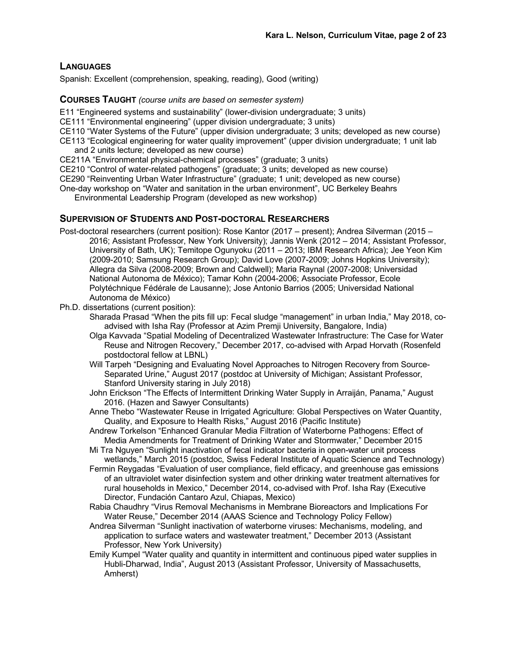### **LANGUAGES**

Spanish: Excellent (comprehension, speaking, reading), Good (writing)

#### **COURSES TAUGHT** *(course units are based on semester system)*

- E11 "Engineered systems and sustainability" (lower-division undergraduate; 3 units)
- CE111 "Environmental engineering" (upper division undergraduate; 3 units)
- CE110 "Water Systems of the Future" (upper division undergraduate; 3 units; developed as new course)
- CE113 "Ecological engineering for water quality improvement" (upper division undergraduate; 1 unit lab and 2 units lecture; developed as new course)
- CE211A "Environmental physical-chemical processes" (graduate; 3 units)

CE210 "Control of water-related pathogens" (graduate; 3 units; developed as new course)

CE290 "Reinventing Urban Water Infrastructure" (graduate; 1 unit; developed as new course)

One-day workshop on "Water and sanitation in the urban environment", UC Berkeley Beahrs

Environmental Leadership Program (developed as new workshop)

#### **SUPERVISION OF STUDENTS AND POST-DOCTORAL RESEARCHERS**

- Post-doctoral researchers (current position): Rose Kantor (2017 present); Andrea Silverman (2015 2016; Assistant Professor, New York University); Jannis Wenk (2012 – 2014; Assistant Professor, University of Bath, UK); Temitope Ogunyoku (2011 – 2013; IBM Research Africa); Jee Yeon Kim (2009-2010; Samsung Research Group); David Love (2007-2009; Johns Hopkins University); Allegra da Silva (2008-2009; Brown and Caldwell); Maria Raynal (2007-2008; Universidad National Autonoma de México); Tamar Kohn (2004-2006; Associate Professor, Ecole Polytéchnique Fédérale de Lausanne); Jose Antonio Barrios (2005; Universidad National Autonoma de México)
- Ph.D. dissertations (current position):
	- Sharada Prasad "When the pits fill up: Fecal sludge "management" in urban India," May 2018, coadvised with Isha Ray (Professor at Azim Premji University, Bangalore, India)
	- Olga Kavvada "Spatial Modeling of Decentralized Wastewater Infrastructure: The Case for Water Reuse and Nitrogen Recovery," December 2017, co-advised with Arpad Horvath (Rosenfeld postdoctoral fellow at LBNL)
	- Will Tarpeh "Designing and Evaluating Novel Approaches to Nitrogen Recovery from Source-Separated Urine," August 2017 (postdoc at University of Michigan; Assistant Professor, Stanford University staring in July 2018)
	- John Erickson "The Effects of Intermittent Drinking Water Supply in Arraiján, Panama," August 2016. (Hazen and Sawyer Consultants)
	- Anne Thebo "Wastewater Reuse in Irrigated Agriculture: Global Perspectives on Water Quantity, Quality, and Exposure to Health Risks," August 2016 (Pacific Institute)
	- Andrew Torkelson "Enhanced Granular Media Filtration of Waterborne Pathogens: Effect of Media Amendments for Treatment of Drinking Water and Stormwater," December 2015
	- Mi Tra Nguyen "Sunlight inactivation of fecal indicator bacteria in open-water unit process wetlands," March 2015 (postdoc, Swiss Federal Institute of Aquatic Science and Technology)
	- Fermin Reygadas "Evaluation of user compliance, field efficacy, and greenhouse gas emissions of an ultraviolet water disinfection system and other drinking water treatment alternatives for rural households in Mexico," December 2014, co-advised with Prof. Isha Ray (Executive Director, Fundación Cantaro Azul, Chiapas, Mexico)
	- Rabia Chaudhry "Virus Removal Mechanisms in Membrane Bioreactors and Implications For Water Reuse," December 2014 (AAAS Science and Technology Policy Fellow)
	- Andrea Silverman "Sunlight inactivation of waterborne viruses: Mechanisms, modeling, and application to surface waters and wastewater treatment," December 2013 (Assistant Professor, New York University)
	- Emily Kumpel "Water quality and quantity in intermittent and continuous piped water supplies in Hubli-Dharwad, India", August 2013 (Assistant Professor, University of Massachusetts, Amherst)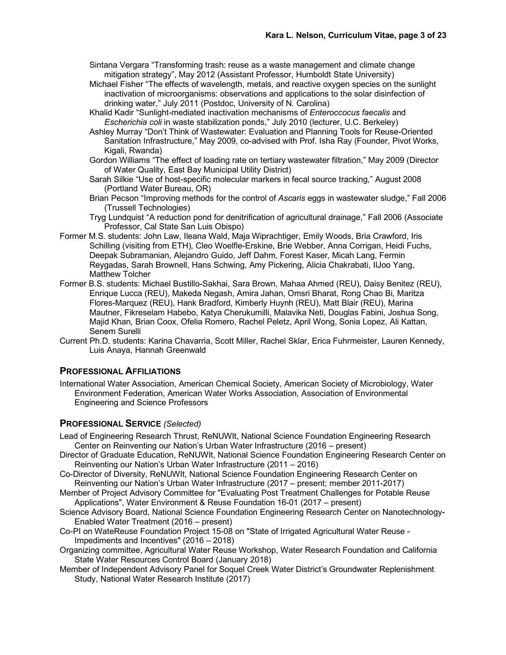- Sintana Vergara "Transforming trash: reuse as a waste management and climate change mitigation strategy", May 2012 (Assistant Professor, Humboldt State University)
- Michael Fisher "The effects of wavelength, metals, and reactive oxygen species on the sunlight inactivation of microorganisms: observations and applications to the solar disinfection of drinking water," July 2011 (Postdoc, University of N. Carolina)
- Khalid Kadir "Sunlight-mediated inactivation mechanisms of *Enteroccocus faecalis* and *Escherichia coli* in waste stabilization ponds," July 2010 (lecturer, U.C. Berkeley)
- Ashley Murray "Don't Think of Wastewater: Evaluation and Planning Tools for Reuse-Oriented Sanitation Infrastructure," May 2009, co-advised with Prof. Isha Ray (Founder, Pivot Works, Kigali, Rwanda)
- Gordon Williams "The effect of loading rate on tertiary wastewater filtration," May 2009 (Director of Water Quality, East Bay Municipal Utility District)
- Sarah Silkie "Use of host-specific molecular markers in fecal source tracking," August 2008 (Portland Water Bureau, OR)
- Brian Pecson "Improving methods for the control of *Ascaris* eggs in wastewater sludge," Fall 2006 (Trussell Technologies)
- Tryg Lundquist "A reduction pond for denitrification of agricultural drainage," Fall 2006 (Associate Professor, Cal State San Luis Obispo)
- Former M.S. students: John Law, Ileana Wald, Maja Wiprachtiger, Emily Woods, Bria Crawford, Iris Schilling (visiting from ETH), Cleo Woelfle-Erskine, Brie Webber, Anna Corrigan, Heidi Fuchs, Deepak Subramanian, Alejandro Guido, Jeff Dahm, Forest Kaser, Micah Lang, Fermin Reygadas, Sarah Brownell, Hans Schwing, Amy Pickering, Alicia Chakrabati, IlJoo Yang, Matthew Tolcher
- Former B.S. students: Michael Bustillo-Sakhai, Sara Brown, Mahaa Ahmed (REU), Daisy Benitez (REU), Enrique Lucca (REU), Makeda Negash, Amira Jahan, Omsri Bharat, Rong Chao Bi, Maritza Flores-Marquez (REU), Hank Bradford, Kimberly Huynh (REU), Matt Blair (REU), Marina Mautner, Fikreselam Habebo, Katya Cherukumilli, Malavika Neti, Douglas Fabini, Joshua Song, Majid Khan, Brian Coox, Ofelia Romero, Rachel Peletz, April Wong, Sonia Lopez, Ali Kattan, Senem Surelli
- Current Ph.D. students: Karina Chavarria, Scott Miller, Rachel Sklar, Erica Fuhrmeister, Lauren Kennedy, Luis Anaya, Hannah Greenwald

#### **PROFESSIONAL AFFILIATIONS**

International Water Association, American Chemical Society, American Society of Microbiology, Water Environment Federation, American Water Works Association, Association of Environmental Engineering and Science Professors

#### **PROFESSIONAL SERVICE** *(Selected)*

- Lead of Engineering Research Thrust, ReNUWIt, National Science Foundation Engineering Research Center on Reinventing our Nation's Urban Water Infrastructure (2016 – present)
- Director of Graduate Education, ReNUWIt, National Science Foundation Engineering Research Center on Reinventing our Nation's Urban Water Infrastructure (2011 – 2016)
- Co-Director of Diversity, ReNUWIt, National Science Foundation Engineering Research Center on Reinventing our Nation's Urban Water Infrastructure (2017 – present; member 2011-2017)
- Member of Project Advisory Committee for "Evaluating Post Treatment Challenges for Potable Reuse Applications", Water Environment & Reuse Foundation 16-01 (2017 – present)
- Science Advisory Board, National Science Foundation Engineering Research Center on Nanotechnology-Enabled Water Treatment (2016 – present)
- Co-PI on WateReuse Foundation Project 15-08 on "State of Irrigated Agricultural Water Reuse Impediments and Incentives" (2016 – 2018)
- Organizing committee, Agricultural Water Reuse Workshop, Water Research Foundation and California State Water Resources Control Board (January 2018)
- Member of Independent Advisory Panel for Soquel Creek Water District's Groundwater Replenishment Study, National Water Research Institute (2017)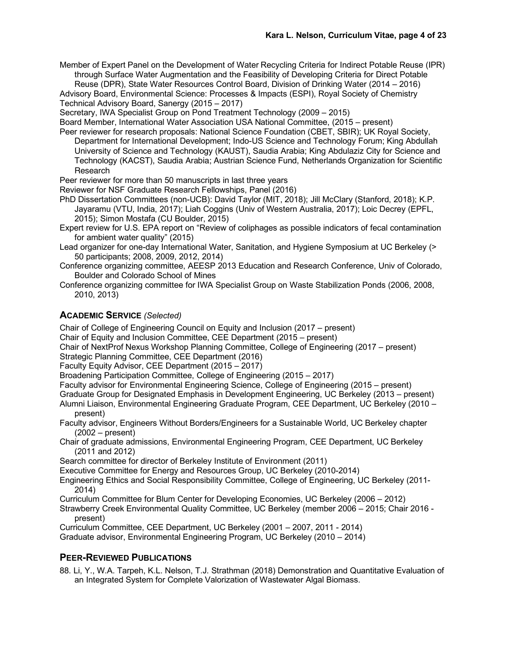Member of Expert Panel on the Development of Water Recycling Criteria for Indirect Potable Reuse (IPR) through Surface Water Augmentation and the Feasibility of Developing Criteria for Direct Potable Reuse (DPR), State Water Resources Control Board, Division of Drinking Water (2014 – 2016)

Advisory Board, Environmental Science: Processes & Impacts (ESPI), Royal Society of Chemistry Technical Advisory Board, Sanergy (2015 – 2017)

Secretary, IWA Specialist Group on Pond Treatment Technology (2009 – 2015)

Board Member, International Water Association USA National Committee, (2015 – present)

Peer reviewer for research proposals: National Science Foundation (CBET, SBIR); UK Royal Society, Department for International Development; Indo-US Science and Technology Forum; King Abdullah University of Science and Technology (KAUST), Saudia Arabia; King Abdulaziz City for Science and Technology (KACST), Saudia Arabia; Austrian Science Fund, Netherlands Organization for Scientific Research

Peer reviewer for more than 50 manuscripts in last three years

- Reviewer for NSF Graduate Research Fellowships, Panel (2016)
- PhD Dissertation Committees (non-UCB): David Taylor (MIT, 2018); Jill McClary (Stanford, 2018); K.P. Jayaramu (VTU, India, 2017); Liah Coggins (Univ of Western Australia, 2017); Loic Decrey (EPFL, 2015); Simon Mostafa (CU Boulder, 2015)

Expert review for U.S. EPA report on "Review of coliphages as possible indicators of fecal contamination for ambient water quality" (2015)

Lead organizer for one-day International Water, Sanitation, and Hygiene Symposium at UC Berkeley (> 50 participants; 2008, 2009, 2012, 2014)

Conference organizing committee, AEESP 2013 Education and Research Conference, Univ of Colorado, Boulder and Colorado School of Mines

Conference organizing committee for IWA Specialist Group on Waste Stabilization Ponds (2006, 2008, 2010, 2013)

## **ACADEMIC SERVICE** *(Selected)*

Chair of College of Engineering Council on Equity and Inclusion (2017 – present)

Chair of Equity and Inclusion Committee, CEE Department (2015 – present)

Chair of NextProf Nexus Workshop Planning Committee, College of Engineering (2017 – present) Strategic Planning Committee, CEE Department (2016)

Faculty Equity Advisor, CEE Department (2015 – 2017)

Broadening Participation Committee, College of Engineering (2015 – 2017)

Faculty advisor for Environmental Engineering Science, College of Engineering (2015 – present)

Graduate Group for Designated Emphasis in Development Engineering, UC Berkeley (2013 – present) Alumni Liaison, Environmental Engineering Graduate Program, CEE Department, UC Berkeley (2010 – present)

Faculty advisor, Engineers Without Borders/Engineers for a Sustainable World, UC Berkeley chapter (2002 – present)

Chair of graduate admissions, Environmental Engineering Program, CEE Department, UC Berkeley (2011 and 2012)

Search committee for director of Berkeley Institute of Environment (2011)

Executive Committee for Energy and Resources Group, UC Berkeley (2010-2014)

Engineering Ethics and Social Responsibility Committee, College of Engineering, UC Berkeley (2011- 2014)

Curriculum Committee for Blum Center for Developing Economies, UC Berkeley (2006 – 2012)

Strawberry Creek Environmental Quality Committee, UC Berkeley (member 2006 – 2015; Chair 2016 present)

Curriculum Committee, CEE Department, UC Berkeley (2001 – 2007, 2011 - 2014)

Graduate advisor, Environmental Engineering Program, UC Berkeley (2010 – 2014)

#### **PEER-REVIEWED PUBLICATIONS**

88. Li, Y., W.A. Tarpeh, K.L. Nelson, T.J. Strathman (2018) Demonstration and Quantitative Evaluation of an Integrated System for Complete Valorization of Wastewater Algal Biomass.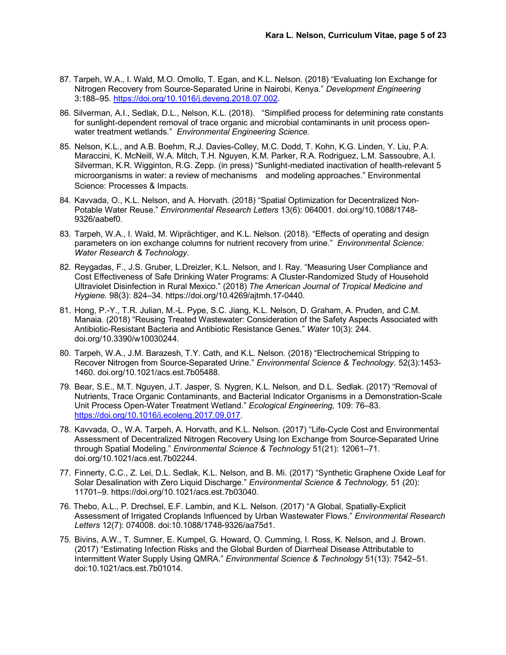- 87. Tarpeh, W.A., I. Wald, M.O. Omollo, T. Egan, and K.L. Nelson. (2018) "Evaluating Ion Exchange for Nitrogen Recovery from Source-Separated Urine in Nairobi, Kenya." *Development Engineering* 3:188–95. https://doi.org/10.1016/j.deveng.2018.07.002.
- 86. Silverman, A.I., Sedlak, D.L., Nelson, K.L. (2018). "Simplified process for determining rate constants for sunlight-dependent removal of trace organic and microbial contaminants in unit process openwater treatment wetlands." *Environmental Engineering Science*.
- 85. Nelson, K.L., and A.B. Boehm, R.J. Davies-Colley, M.C. Dodd, T. Kohn, K.G. Linden, Y. Liu, P.A. Maraccini, K. McNeill, W.A. Mitch, T.H. Nguyen, K.M. Parker, R.A. Rodriguez, L.M. Sassoubre, A.I. Silverman, K.R. Wigginton, R.G. Zepp. (in press) "Sunlight-mediated inactivation of health-relevant 5 microorganisms in water: a review of mechanisms and modeling approaches." Environmental Science: Processes & Impacts.
- 84. Kavvada, O., K.L. Nelson, and A. Horvath. (2018) "Spatial Optimization for Decentralized Non-Potable Water Reuse." *Environmental Research Letters* 13(6): 064001. doi.org/10.1088/1748- 9326/aabef0.
- 83. Tarpeh, W.A., I. Wald, M. Wiprächtiger, and K.L. Nelson. (2018). "Effects of operating and design parameters on ion exchange columns for nutrient recovery from urine." *Environmental Science: Water Research & Technology*.
- 82. Reygadas, F., J.S. Gruber, L.Dreizler, K.L. Nelson, and I. Ray. "Measuring User Compliance and Cost Effectiveness of Safe Drinking Water Programs: A Cluster-Randomized Study of Household Ultraviolet Disinfection in Rural Mexico." (2018) *The American Journal of Tropical Medicine and Hygiene.* 98(3): 824–34. https://doi.org/10.4269/ajtmh.17-0440.
- 81. Hong, P.-Y., T.R. Julian, M.-L. Pype, S.C. Jiang, K.L. Nelson, D. Graham, A. Pruden, and C.M. Manaia. (2018) "Reusing Treated Wastewater: Consideration of the Safety Aspects Associated with Antibiotic-Resistant Bacteria and Antibiotic Resistance Genes." *Water* 10(3): 244. doi.org/10.3390/w10030244.
- 80. Tarpeh, W.A., J.M. Barazesh, T.Y. Cath, and K.L. Nelson. (2018) "Electrochemical Stripping to Recover Nitrogen from Source-Separated Urine." *Environmental Science & Technology*. 52(3):1453- 1460. doi.org/10.1021/acs.est.7b05488.
- 79. Bear, S.E., M.T. Nguyen, J.T. Jasper, S. Nygren, K.L. Nelson, and D.L. Sedlak. (2017) "Removal of Nutrients, Trace Organic Contaminants, and Bacterial Indicator Organisms in a Demonstration-Scale Unit Process Open-Water Treatment Wetland." *Ecological Engineering,* 109: 76–83. https://doi.org/10.1016/j.ecoleng.2017.09.017.
- 78. Kavvada, O., W.A. Tarpeh, A. Horvath, and K.L. Nelson. (2017) "Life-Cycle Cost and Environmental Assessment of Decentralized Nitrogen Recovery Using Ion Exchange from Source-Separated Urine through Spatial Modeling." *Environmental Science & Technology* 51(21): 12061–71. doi.org/10.1021/acs.est.7b02244.
- 77. Finnerty, C.C., Z. Lei, D.L. Sedlak, K.L. Nelson, and B. Mi. (2017) "Synthetic Graphene Oxide Leaf for Solar Desalination with Zero Liquid Discharge." *Environmental Science & Technology,* 51 (20): 11701–9. https://doi.org/10.1021/acs.est.7b03040.
- 76. Thebo, A.L., P. Drechsel, E.F. Lambin, and K.L. Nelson. (2017) "A Global, Spatially-Explicit Assessment of Irrigated Croplands Influenced by Urban Wastewater Flows." *Environmental Research Letters* 12(7): 074008. doi:10.1088/1748-9326/aa75d1.
- 75. Bivins, A.W., T. Sumner, E. Kumpel, G. Howard, O. Cumming, I. Ross, K. Nelson, and J. Brown. (2017) "Estimating Infection Risks and the Global Burden of Diarrheal Disease Attributable to Intermittent Water Supply Using QMRA." *Environmental Science & Technology* 51(13): 7542–51. doi:10.1021/acs.est.7b01014.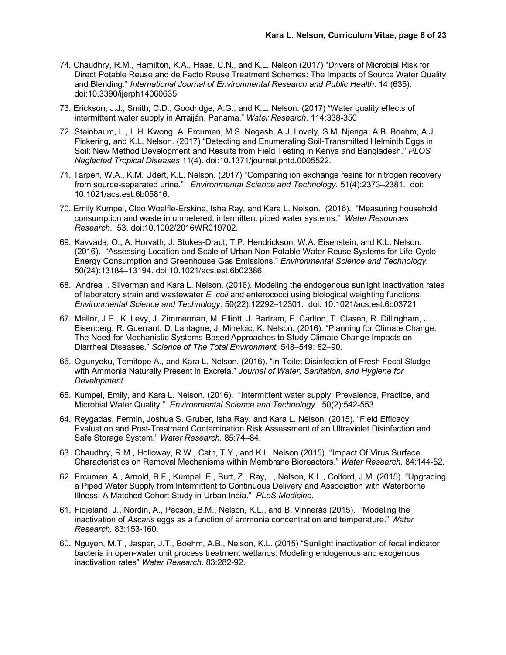- 74. Chaudhry, R.M., Hamilton, K.A., Haas, C.N., and K.L. Nelson (2017) "Drivers of Microbial Risk for Direct Potable Reuse and de Facto Reuse Treatment Schemes: The Impacts of Source Water Quality and Blending." *International Journal of Environmental Research and Public Health*. 14 (635). doi:10.3390/ijerph14060635
- 73. Erickson, J.J., Smith, C.D., Goodridge, A.G., and K.L. Nelson. (2017) "Water quality effects of intermittent water supply in Arraiján, Panama." *Water Research*. 114:338-350
- 72. Steinbaum, L., L.H. Kwong, A. Ercumen, M.S. Negash, A.J. Lovely, S.M. Njenga, A.B. Boehm, A.J. Pickering, and K.L. Nelson. (2017) "Detecting and Enumerating Soil-Transmitted Helminth Eggs in Soil: New Method Development and Results from Field Testing in Kenya and Bangladesh." *PLOS Neglected Tropical Diseases* 11(4). doi:10.1371/journal.pntd.0005522.
- 71. Tarpeh, W.A., K.M. Udert, K.L. Nelson. (2017) "Comparing ion exchange resins for nitrogen recovery from source-separated urine." *Environmental Science and Technology.* 51(4):2373–2381. doi: 10.1021/acs.est.6b05816.
- 70. Emily Kumpel, Cleo Woelfle-Erskine, Isha Ray, and Kara L. Nelson. (2016). "Measuring household consumption and waste in unmetered, intermittent piped water systems." *Water Resources Research*. 53. doi:10.1002/2016WR019702.
- 69. Kavvada, O., A. Horvath, J. Stokes-Draut, T.P. Hendrickson, W.A. Eisenstein, and K.L. Nelson. (2016). "Assessing Location and Scale of Urban Non-Potable Water Reuse Systems for Life-Cycle Energy Consumption and Greenhouse Gas Emissions." *Environmental Science and Technology.* 50(24):13184–13194. doi:10.1021/acs.est.6b02386.
- 68. Andrea I. Silverman and Kara L. Nelson. (2016). Modeling the endogenous sunlight inactivation rates of laboratory strain and wastewater *E. coli* and enterococci using biological weighting functions. *Environmental Science and Technology.* 50(22):12292–12301. doi: 10.1021/acs.est.6b03721
- 67. Mellor, J.E., K. Levy, J. Zimmerman, M. Elliott, J. Bartram, E. Carlton, T. Clasen, R. Dillingham, J. Eisenberg, R. Guerrant, D. Lantagne, J. Mihelcic, K. Nelson. (2016). "Planning for Climate Change: The Need for Mechanistic Systems-Based Approaches to Study Climate Change Impacts on Diarrheal Diseases." *Science of The Total Environment.* 548–549: 82–90.
- 66. Ogunyoku, Temitope A., and Kara L. Nelson. (2016). "In-Toilet Disinfection of Fresh Fecal Sludge with Ammonia Naturally Present in Excreta." *Journal of Water, Sanitation, and Hygiene for Development*.
- 65. Kumpel, Emily, and Kara L. Nelson. (2016). "Intermittent water supply: Prevalence, Practice, and Microbial Water Quality." *Environmental Science and Technology*. 50(2):542-553.
- 64. Reygadas, Fermin, Joshua S. Gruber, Isha Ray, and Kara L. Nelson. (2015). "Field Efficacy Evaluation and Post-Treatment Contamination Risk Assessment of an Ultraviolet Disinfection and Safe Storage System." *Water Research.* 85:74–84.
- 63. Chaudhry, R.M., Holloway, R.W., Cath, T.Y., and K.L. Nelson (2015). "Impact Of Virus Surface Characteristics on Removal Mechanisms within Membrane Bioreactors." *Water Research.* 84:144-52.
- 62. Ercumen, A., Arnold, B.F., Kumpel, E., Burt, Z., Ray, I., Nelson, K.L., Colford, J.M. (2015). "Upgrading a Piped Water Supply from Intermittent to Continuous Delivery and Association with Waterborne Illness: A Matched Cohort Study in Urban India." *PLoS Medicine.*
- 61. Fidjeland, J., Nordin, A., Pecson, B.M., Nelson, K.L., and B. Vinnerås (2015). "Modeling the inactivation of *Ascaris* eggs as a function of ammonia concentration and temperature." *Water Research.* 83:153-160.
- 60. Nguyen, M.T., Jasper, J.T., Boehm, A.B., Nelson, K.L. (2015) "Sunlight inactivation of fecal indicator bacteria in open-water unit process treatment wetlands: Modeling endogenous and exogenous inactivation rates" *Water Research*. 83:282-92.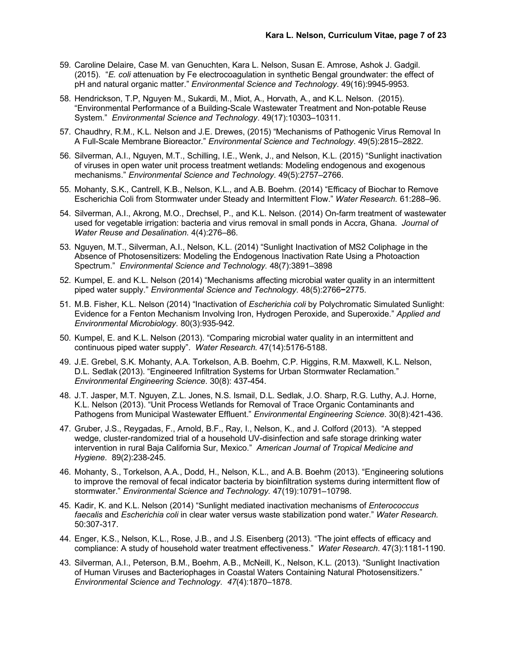- 59. Caroline Delaire, Case M. van Genuchten, Kara L. Nelson, Susan E. Amrose, Ashok J. Gadgil. (2015). "*E. coli* attenuation by Fe electrocoagulation in synthetic Bengal groundwater: the effect of pH and natural organic matter." *Environmental Science and Technology*. 49(16):9945-9953.
- 58. Hendrickson, T.P, Nguyen, M., Sukardi, M., Miot, A., Horvath, A., and K.L. Nelson. (2015). "Environmental Performance of a Building-Scale Wastewater Treatment and Non-potable Reuse System." *Environmental Science and Technology*. 49(17):10303–10311.
- 57. Chaudhry, R.M., K.L. Nelson and J.E. Drewes, (2015) "Mechanisms of Pathogenic Virus Removal In A Full-Scale Membrane Bioreactor." *Environmental Science and Technology*. 49(5):2815–2822.
- 56. Silverman, A.I., Nguyen, M.T., Schilling, I.E., Wenk, J., and Nelson, K.L. (2015) "Sunlight inactivation of viruses in open water unit process treatment wetlands: Modeling endogenous and exogenous mechanisms." *Environmental Science and Technology*. 49(5):2757–2766.
- 55. Mohanty, S.K., Cantrell, K.B., Nelson, K.L., and A.B. Boehm. (2014) "Efficacy of Biochar to Remove Escherichia Coli from Stormwater under Steady and Intermittent Flow." *Water Research.* 61:288–96.
- 54. Silverman, A.I., Akrong, M.O., Drechsel, P., and K.L. Nelson. (2014) On-farm treatment of wastewater used for vegetable irrigation: bacteria and virus removal in small ponds in Accra, Ghana. *Journal of Water Reuse and Desalination*. 4(4):276–86.
- 53. Nguyen, M.T., Silverman, A.I., Nelson, K.L. (2014) "Sunlight Inactivation of MS2 Coliphage in the Absence of Photosensitizers: Modeling the Endogenous Inactivation Rate Using a Photoaction Spectrum." *Environmental Science and Technology.* 48(7):3891–3898
- 52. Kumpel, E. and K.L. Nelson (2014) "Mechanisms affecting microbial water quality in an intermittent piped water supply." *Environmental Science and Technology*. 48(5):2766**−**2775.
- 51. M.B. Fisher, K.L. Nelson (2014) "Inactivation of *Escherichia coli* by Polychromatic Simulated Sunlight: Evidence for a Fenton Mechanism Involving Iron, Hydrogen Peroxide, and Superoxide." *Applied and Environmental Microbiology*. 80(3):935-942.
- 50. Kumpel, E. and K.L. Nelson (2013). "Comparing microbial water quality in an intermittent and continuous piped water supply". *Water Research.* 47(14):5176-5188.
- 49. J.E. Grebel, S.K. Mohanty, A.A. Torkelson, A.B. Boehm, C.P. Higgins, R.M. Maxwell, K.L. Nelson, D.L. Sedlak (2013). "Engineered Infiltration Systems for Urban Stormwater Reclamation." *Environmental Engineering Science*. 30(8): 437-454.
- 48. J.T. Jasper, M.T. Nguyen, Z.L. Jones, N.S. Ismail, D.L. Sedlak, J.O. Sharp, R.G. Luthy, A.J. Horne, K.L. Nelson (2013). "Unit Process Wetlands for Removal of Trace Organic Contaminants and Pathogens from Municipal Wastewater Effluent." *Environmental Engineering Science*. 30(8):421-436.
- 47. Gruber, J.S., Reygadas, F., Arnold, B.F., Ray, I., Nelson, K., and J. Colford (2013). "A stepped wedge, cluster-randomized trial of a household UV-disinfection and safe storage drinking water intervention in rural Baja California Sur, Mexico." *American Journal of Tropical Medicine and Hygiene*. 89(2):238-245.
- 46. Mohanty, S., Torkelson, A.A., Dodd, H., Nelson, K.L., and A.B. Boehm (2013). "Engineering solutions to improve the removal of fecal indicator bacteria by bioinfiltration systems during intermittent flow of stormwater." *Environmental Science and Technology.* 47(19):10791–10798.
- 45. Kadir, K. and K.L. Nelson (2014) "Sunlight mediated inactivation mechanisms of *Enterococcus faecalis* and *Escherichia coli* in clear water versus waste stabilization pond water." *Water Research.* 50:307-317.
- 44. Enger, K.S., Nelson, K.L., Rose, J.B., and J.S. Eisenberg (2013). "The joint effects of efficacy and compliance: A study of household water treatment effectiveness." *Water Research*. 47(3):1181-1190.
- 43. Silverman, A.I., Peterson, B.M., Boehm, A.B., McNeill, K., Nelson, K.L. (2013). "Sunlight Inactivation of Human Viruses and Bacteriophages in Coastal Waters Containing Natural Photosensitizers." *Environmental Science and Technology*. *47*(4):1870–1878.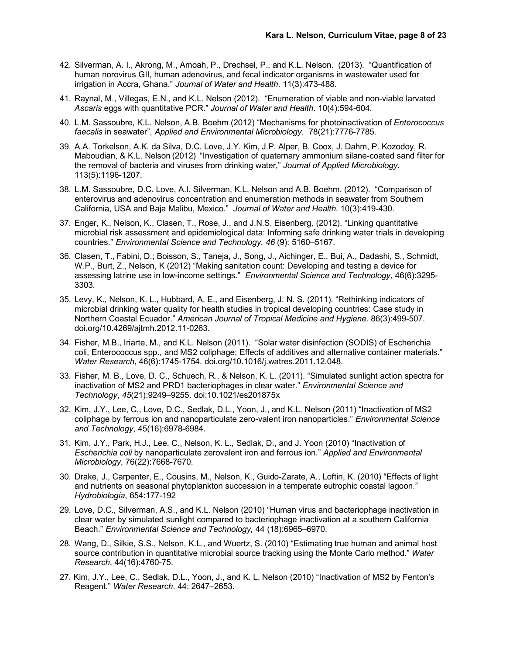- 42. Silverman, A. I., Akrong, M., Amoah, P., Drechsel, P., and K.L. Nelson. (2013). "Quantification of human norovirus GII, human adenovirus, and fecal indicator organisms in wastewater used for irrigation in Accra, Ghana." *Journal of Water and Health*. 11(3):473-488.
- 41. Raynal, M., Villegas, E.N., and K.L. Nelson (2012). "Enumeration of viable and non-viable larvated *Ascaris* eggs with quantitative PCR." *Journal of Water and Health*. 10(4):594-604.
- 40. L.M. Sassoubre, K.L. Nelson, A.B. Boehm (2012) "Mechanisms for photoinactivation of *Enterococcus faecalis* in seawater", *Applied and Environmental Microbiology*. 78(21):7776-7785.
- 39. A.A. Torkelson, A.K. da Silva, D.C. Love, J.Y. Kim, J.P. Alper, B. Coox, J. Dahm, P. Kozodoy, R. Maboudian, & K.L. Nelson (2012) "Investigation of quaternary ammonium silane-coated sand filter for the removal of bacteria and viruses from drinking water," *Journal of Applied Microbiology*. 113(5):1196-1207.
- 38. L.M. Sassoubre, D.C. Love, A.I. Silverman, K.L. Nelson and A.B. Boehm. (2012). "Comparison of enterovirus and adenovirus concentration and enumeration methods in seawater from Southern California, USA and Baja Malibu, Mexico." *Journal of Water and Health.* 10(3):419-430.
- 37. Enger, K., Nelson, K., Clasen, T., Rose, J., and J.N.S. Eisenberg. (2012). "Linking quantitative microbial risk assessment and epidemiological data: Informing safe drinking water trials in developing countries." *Environmental Science and Technology. 46* (9): 5160–5167.
- 36. Clasen, T., Fabini, D.; Boisson, S., Taneja, J., Song, J., Aichinger, E., Bui, A., Dadashi, S., Schmidt, W.P., Burt, Z., Nelson, K (2012) "Making sanitation count: Developing and testing a device for assessing latrine use in low-income settings." *Environmental Science and Technology,* 46(6):3295- 3303.
- 35. Levy, K., Nelson, K. L., Hubbard, A. E., and Eisenberg, J. N. S. (2011). "Rethinking indicators of microbial drinking water quality for health studies in tropical developing countries: Case study in Northern Coastal Ecuador." *American Journal of Tropical Medicine and Hygiene*. 86(3):499-507. doi.org/10.4269/ajtmh.2012.11-0263.
- 34. Fisher, M.B., Iriarte, M., and K.L. Nelson (2011). "Solar water disinfection (SODIS) of Escherichia coli, Enterococcus spp., and MS2 coliphage: Effects of additives and alternative container materials." *Water Research*, 46(6):1745-1754. doi.org/10.1016/j.watres.2011.12.048.
- 33. Fisher, M. B., Love, D. C., Schuech, R., & Nelson, K. L. (2011). "Simulated sunlight action spectra for inactivation of MS2 and PRD1 bacteriophages in clear water." *Environmental Science and Technology*, *45*(21):9249–9255. doi:10.1021/es201875x
- 32. Kim, J.Y., Lee, C., Love, D.C., Sedlak, D.L., Yoon, J., and K.L. Nelson (2011) "Inactivation of MS2 coliphage by ferrous ion and nanoparticulate zero-valent iron nanoparticles." *Environmental Science and Technology*, 45(16):6978-6984.
- 31. Kim, J.Y., Park, H.J., Lee, C., Nelson, K. L., Sedlak, D., and J. Yoon (2010) "Inactivation of *Escherichia coli* by nanoparticulate zerovalent iron and ferrous ion." *Applied and Environmental Microbiology*, 76(22):7668-7670.
- 30. Drake, J., Carpenter, E., Cousins, M., Nelson, K., Guido-Zarate, A., Loftin, K. (2010) "Effects of light and nutrients on seasonal phytoplankton succession in a temperate eutrophic coastal lagoon." *Hydrobiologia*, 654:177-192
- 29. Love, D.C., Silverman, A.S., and K.L. Nelson (2010) "Human virus and bacteriophage inactivation in clear water by simulated sunlight compared to bacteriophage inactivation at a southern California Beach." *Environmental Science and Technology,* 44 (18):6965–6970.
- 28. Wang, D., Silkie, S.S., Nelson, K.L., and Wuertz, S. (2010) "Estimating true human and animal host source contribution in quantitative microbial source tracking using the Monte Carlo method." *Water Research*, 44(16):4760-75.
- 27. Kim, J.Y., Lee, C., Sedlak, D.L., Yoon, J., and K. L. Nelson (2010) "Inactivation of MS2 by Fenton's Reagent." *Water Research*. 44: 2647–2653.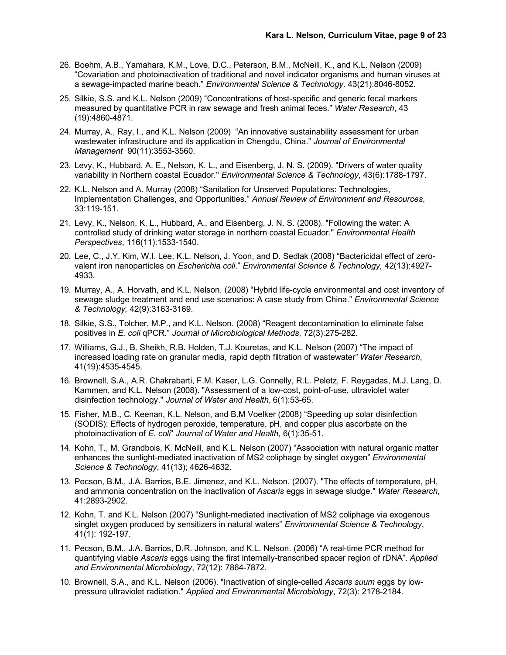- 26. Boehm, A.B., Yamahara, K.M., Love, D.C., Peterson, B.M., McNeill, K., and K.L. Nelson (2009) "Covariation and photoinactivation of traditional and novel indicator organisms and human viruses at a sewage-impacted marine beach." *Environmental Science & Technology*. 43(21):8046-8052.
- 25. Silkie, S.S. and K.L. Nelson (2009) "Concentrations of host-specific and generic fecal markers measured by quantitative PCR in raw sewage and fresh animal feces." *Water Research*, 43 (19):4860-4871.
- 24. Murray, A., Ray, I., and K.L. Nelson (2009) "An innovative sustainability assessment for urban wastewater infrastructure and its application in Chengdu, China." *Journal of Environmental Management* 90(11):3553-3560.
- 23. Levy, K., Hubbard, A. E., Nelson, K. L., and Eisenberg, J. N. S. (2009). "Drivers of water quality variability in Northern coastal Ecuador." *Environmental Science & Technology*, 43(6):1788-1797.
- 22. K.L. Nelson and A. Murray (2008) "Sanitation for Unserved Populations: Technologies, Implementation Challenges, and Opportunities." *Annual Review of Environment and Resources*, 33:119-151.
- 21. Levy, K., Nelson, K. L., Hubbard, A., and Eisenberg, J. N. S. (2008). "Following the water: A controlled study of drinking water storage in northern coastal Ecuador." *Environmental Health Perspectives*, 116(11):1533-1540.
- 20. Lee, C., J.Y. Kim, W.I. Lee, K.L. Nelson, J. Yoon, and D. Sedlak (2008) "Bactericidal effect of zerovalent iron nanoparticles on *Escherichia coli*." *Environmental Science & Technology,* 42(13):4927- 4933.
- 19. Murray, A., A. Horvath, and K.L. Nelson. (2008) "Hybrid life-cycle environmental and cost inventory of sewage sludge treatment and end use scenarios: A case study from China." *Environmental Science & Technology,* 42(9):3163-3169.
- 18. Silkie, S.S., Tolcher, M.P., and K.L. Nelson. (2008) "Reagent decontamination to eliminate false positives in *E. coli* qPCR." *Journal of Microbiological Methods*, 72(3):275-282.
- 17. Williams, G.J., B. Sheikh, R.B. Holden, T.J. Kouretas, and K.L. Nelson (2007) "The impact of increased loading rate on granular media, rapid depth filtration of wastewater" *Water Research*, 41(19):4535-4545.
- 16. Brownell, S.A., A.R. Chakrabarti, F.M. Kaser, L.G. Connelly, R.L. Peletz, F. Reygadas, M.J. Lang, D. Kammen, and K.L. Nelson (2008). "Assessment of a low-cost, point-of-use, ultraviolet water disinfection technology." *Journal of Water and Health*, 6(1):53-65.
- 15. Fisher, M.B., C. Keenan, K.L. Nelson, and B.M Voelker (2008) "Speeding up solar disinfection (SODIS): Effects of hydrogen peroxide, temperature, pH, and copper plus ascorbate on the photoinactivation of *E. coli*" *Journal of Water and Health*, 6(1):35-51.
- 14. Kohn, T., M. Grandbois, K. McNeill, and K.L. Nelson (2007) "Association with natural organic matter enhances the sunlight-mediated inactivation of MS2 coliphage by singlet oxygen" *Environmental Science & Technology*, 41(13); 4626-4632.
- 13. Pecson, B.M., J.A. Barrios, B.E. Jimenez, and K.L. Nelson. (2007). "The effects of temperature, pH, and ammonia concentration on the inactivation of *Ascaris* eggs in sewage sludge." *Water Research*, 41:2893-2902.
- 12. Kohn, T. and K.L. Nelson (2007) "Sunlight-mediated inactivation of MS2 coliphage via exogenous singlet oxygen produced by sensitizers in natural waters" *Environmental Science & Technology*, 41(1): 192-197.
- 11. Pecson, B.M., J.A. Barrios, D.R. Johnson, and K.L. Nelson. (2006) "A real-time PCR method for quantifying viable *Ascaris* eggs using the first internally-transcribed spacer region of rDNA". *Applied and Environmental Microbiology*, 72(12): 7864-7872.
- 10. Brownell, S.A., and K.L. Nelson (2006). "Inactivation of single-celled *Ascaris suum* eggs by lowpressure ultraviolet radiation." *Applied and Environmental Microbiology*, 72(3): 2178-2184.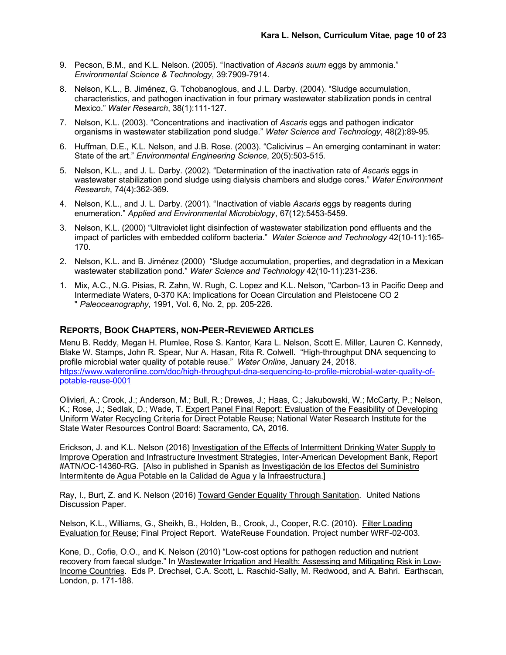- 9. Pecson, B.M., and K.L. Nelson. (2005). "Inactivation of *Ascaris suum* eggs by ammonia." *Environmental Science & Technology*, 39:7909-7914.
- 8. Nelson, K.L., B. Jiménez, G. Tchobanoglous, and J.L. Darby. (2004). "Sludge accumulation, characteristics, and pathogen inactivation in four primary wastewater stabilization ponds in central Mexico." *Water Research*, 38(1):111-127.
- 7. Nelson, K.L. (2003). "Concentrations and inactivation of *Ascaris* eggs and pathogen indicator organisms in wastewater stabilization pond sludge." *Water Science and Technology*, 48(2):89-95*.*
- 6. Huffman, D.E., K.L. Nelson, and J.B. Rose. (2003). "Calicivirus An emerging contaminant in water: State of the art." *Environmental Engineering Science*, 20(5):503-515*.*
- 5. Nelson, K.L., and J. L. Darby. (2002). "Determination of the inactivation rate of *Ascaris* eggs in wastewater stabilization pond sludge using dialysis chambers and sludge cores." *Water Environment Research*, 74(4):362-369.
- 4. Nelson, K.L., and J. L. Darby. (2001). "Inactivation of viable *Ascaris* eggs by reagents during enumeration." *Applied and Environmental Microbiology*, 67(12):5453-5459.
- 3. Nelson, K.L. (2000) "Ultraviolet light disinfection of wastewater stabilization pond effluents and the impact of particles with embedded coliform bacteria." *Water Science and Technology* 42(10-11):165- 170.
- 2. Nelson, K.L. and B. Jiménez (2000) "Sludge accumulation, properties, and degradation in a Mexican wastewater stabilization pond." *Water Science and Technology* 42(10-11):231-236.
- 1. Mix, A.C., N.G. Pisias, R. Zahn, W. Rugh, C. Lopez and K.L. Nelson, "Carbon-13 in Pacific Deep and Intermediate Waters, 0-370 KA: Implications for Ocean Circulation and Pleistocene CO 2 " *Paleoceanography*, 1991, Vol. 6, No. 2, pp. 205-226.

#### **REPORTS, BOOK CHAPTERS, NON-PEER-REVIEWED ARTICLES**

Menu B. Reddy, Megan H. Plumlee, Rose S. Kantor, Kara L. Nelson, Scott E. Miller, Lauren C. Kennedy, Blake W. Stamps, John R. Spear, Nur A. Hasan, Rita R. Colwell. "High-throughput DNA sequencing to profile microbial water quality of potable reuse." *Water Online*, January 24, 2018. https://www.wateronline.com/doc/high-throughput-dna-sequencing-to-profile-microbial-water-quality-ofpotable-reuse-0001

Olivieri, A.; Crook, J.; Anderson, M.; Bull, R.; Drewes, J.; Haas, C.; Jakubowski, W.; McCarty, P.; Nelson, K.; Rose, J.; Sedlak, D.; Wade, T. Expert Panel Final Report: Evaluation of the Feasibility of Developing Uniform Water Recycling Criteria for Direct Potable Reuse; National Water Research Institute for the State Water Resources Control Board: Sacramento, CA, 2016.

Erickson, J. and K.L. Nelson (2016) Investigation of the Effects of Intermittent Drinking Water Supply to Improve Operation and Infrastructure Investment Strategies, Inter-American Development Bank, Report #ATN/OC-14360-RG. [Also in published in Spanish as Investigación de los Efectos del Suministro Intermitente de Agua Potable en la Calidad de Agua y la Infraestructura.]

Ray, I., Burt, Z. and K. Nelson (2016) Toward Gender Equality Through Sanitation. United Nations Discussion Paper.

Nelson, K.L., Williams, G., Sheikh, B., Holden, B., Crook, J., Cooper, R.C. (2010). Filter Loading Evaluation for Reuse; Final Project Report. WateReuse Foundation. Project number WRF-02-003.

Kone, D., Cofie, O.O., and K. Nelson (2010) "Low-cost options for pathogen reduction and nutrient recovery from faecal sludge." In Wastewater Irrigation and Health: Assessing and Mitigating Risk in Low-Income Countries. Eds P. Drechsel, C.A. Scott, L. Raschid-Sally, M. Redwood, and A. Bahri. Earthscan, London, p. 171-188.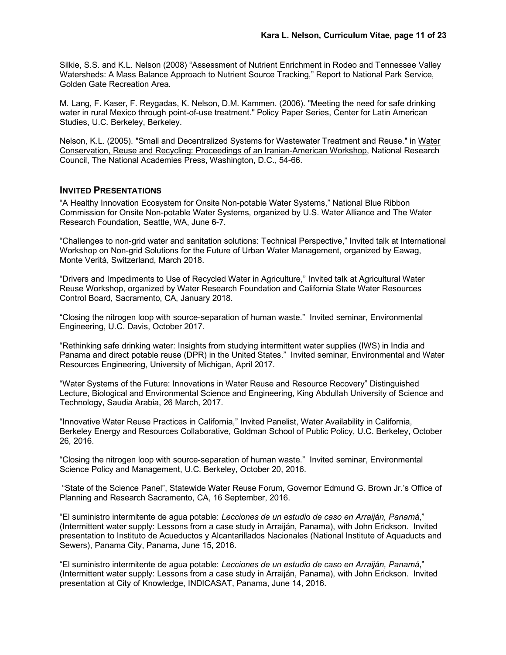Silkie, S.S. and K.L. Nelson (2008) "Assessment of Nutrient Enrichment in Rodeo and Tennessee Valley Watersheds: A Mass Balance Approach to Nutrient Source Tracking," Report to National Park Service, Golden Gate Recreation Area.

M. Lang, F. Kaser, F. Reygadas, K. Nelson, D.M. Kammen. (2006). "Meeting the need for safe drinking water in rural Mexico through point-of-use treatment." Policy Paper Series, Center for Latin American Studies, U.C. Berkeley, Berkeley.

Nelson, K.L. (2005). "Small and Decentralized Systems for Wastewater Treatment and Reuse." in Water Conservation, Reuse and Recycling: Proceedings of an Iranian-American Workshop, National Research Council, The National Academies Press, Washington, D.C., 54-66.

#### **INVITED PRESENTATIONS**

"A Healthy Innovation Ecosystem for Onsite Non-potable Water Systems," National Blue Ribbon Commission for Onsite Non-potable Water Systems, organized by U.S. Water Alliance and The Water Research Foundation, Seattle, WA, June 6-7.

"Challenges to non-grid water and sanitation solutions: Technical Perspective," Invited talk at International Workshop on Non-grid Solutions for the Future of Urban Water Management, organized by Eawag, Monte Verità, Switzerland, March 2018.

"Drivers and Impediments to Use of Recycled Water in Agriculture," Invited talk at Agricultural Water Reuse Workshop, organized by Water Research Foundation and California State Water Resources Control Board, Sacramento, CA, January 2018.

"Closing the nitrogen loop with source-separation of human waste." Invited seminar, Environmental Engineering, U.C. Davis, October 2017.

"Rethinking safe drinking water: Insights from studying intermittent water supplies (IWS) in India and Panama and direct potable reuse (DPR) in the United States." Invited seminar, Environmental and Water Resources Engineering, University of Michigan, April 2017.

"Water Systems of the Future: Innovations in Water Reuse and Resource Recovery" Distinguished Lecture, Biological and Environmental Science and Engineering, King Abdullah University of Science and Technology, Saudia Arabia, 26 March, 2017.

"Innovative Water Reuse Practices in California," Invited Panelist, Water Availability in California, Berkeley Energy and Resources Collaborative, Goldman School of Public Policy, U.C. Berkeley, October 26, 2016.

"Closing the nitrogen loop with source-separation of human waste." Invited seminar, Environmental Science Policy and Management, U.C. Berkeley, October 20, 2016.

"State of the Science Panel", Statewide Water Reuse Forum, Governor Edmund G. Brown Jr.'s Office of Planning and Research Sacramento, CA, 16 September, 2016.

"El suministro intermitente de agua potable: *Lecciones de un estudio de caso en Arraiján, Panamá*," (Intermittent water supply: Lessons from a case study in Arraiján, Panama), with John Erickson. Invited presentation to Instituto de Acueductos y Alcantarillados Nacionales (National Institute of Aquaducts and Sewers), Panama City, Panama, June 15, 2016.

"El suministro intermitente de agua potable: *Lecciones de un estudio de caso en Arraiján, Panamá*," (Intermittent water supply: Lessons from a case study in Arraiján, Panama), with John Erickson. Invited presentation at City of Knowledge, INDICASAT, Panama, June 14, 2016.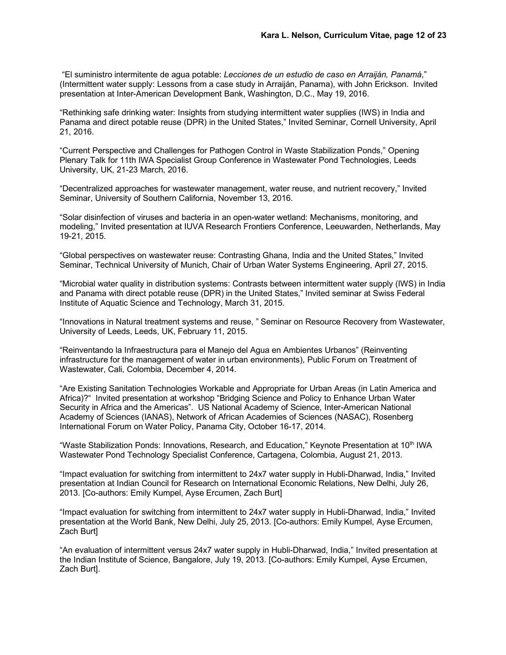"El suministro intermitente de agua potable: *Lecciones de un estudio de caso en Arraiján, Panamá*," (Intermittent water supply: Lessons from a case study in Arraiján, Panama), with John Erickson. Invited presentation at Inter-American Development Bank, Washington, D.C., May 19, 2016.

"Rethinking safe drinking water: Insights from studying intermittent water supplies (IWS) in India and Panama and direct potable reuse (DPR) in the United States," Invited Seminar, Cornell University, April 21, 2016.

"Current Perspective and Challenges for Pathogen Control in Waste Stabilization Ponds," Opening Plenary Talk for 11th IWA Specialist Group Conference in Wastewater Pond Technologies, Leeds University, UK, 21-23 March, 2016.

"Decentralized approaches for wastewater management, water reuse, and nutrient recovery," Invited Seminar, University of Southern California, November 13, 2016.

"Solar disinfection of viruses and bacteria in an open-water wetland: Mechanisms, monitoring, and modeling," Invited presentation at IUVA Research Frontiers Conference, Leeuwarden, Netherlands, May 19-21, 2015.

"Global perspectives on wastewater reuse: Contrasting Ghana, India and the United States," Invited Seminar, Technical University of Munich, Chair of Urban Water Systems Engineering, April 27, 2015.

"Microbial water quality in distribution systems: Contrasts between intermittent water supply (IWS) in India and Panama with direct potable reuse (DPR) in the United States," Invited seminar at Swiss Federal Institute of Aquatic Science and Technology, March 31, 2015.

"Innovations in Natural treatment systems and reuse, " Seminar on Resource Recovery from Wastewater, University of Leeds, Leeds, UK, February 11, 2015.

"Reinventando la Infraestructura para el Manejo del Agua en Ambientes Urbanos" (Reinventing infrastructure for the management of water in urban environments), Public Forum on Treatment of Wastewater, Cali, Colombia, December 4, 2014.

"Are Existing Sanitation Technologies Workable and Appropriate for Urban Areas (in Latin America and Africa)?" Invited presentation at workshop "Bridging Science and Policy to Enhance Urban Water Security in Africa and the Americas". US National Academy of Science, Inter-American National Academy of Sciences (IANAS), Network of African Academies of Sciences (NASAC), Rosenberg International Forum on Water Policy, Panama City, October 16-17, 2014.

"Waste Stabilization Ponds: Innovations, Research, and Education," Keynote Presentation at 10th IWA Wastewater Pond Technology Specialist Conference, Cartagena, Colombia, August 21, 2013.

"Impact evaluation for switching from intermittent to 24x7 water supply in Hubli-Dharwad, India," Invited presentation at Indian Council for Research on International Economic Relations, New Delhi, July 26, 2013. [Co-authors: Emily Kumpel, Ayse Ercumen, Zach Burt]

"Impact evaluation for switching from intermittent to 24x7 water supply in Hubli-Dharwad, India," Invited presentation at the World Bank, New Delhi, July 25, 2013. [Co-authors: Emily Kumpel, Ayse Ercumen, Zach Burt]

"An evaluation of intermittent versus 24x7 water supply in Hubli-Dharwad, India," Invited presentation at the Indian Institute of Science, Bangalore, July 19, 2013. [Co-authors: Emily Kumpel, Ayse Ercumen, Zach Burt].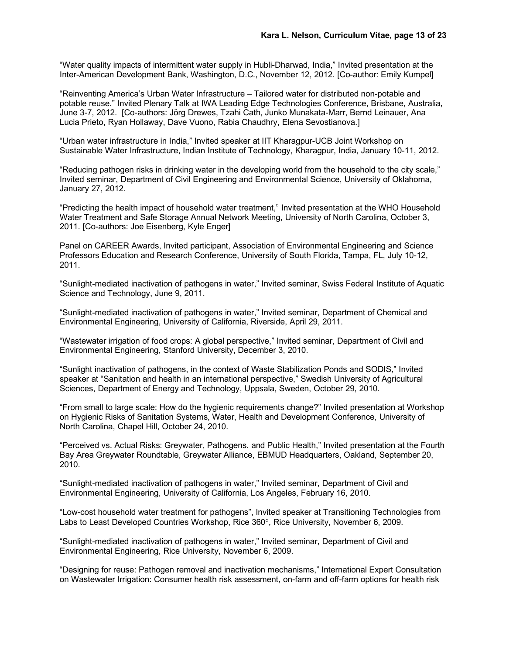"Water quality impacts of intermittent water supply in Hubli-Dharwad, India," Invited presentation at the Inter-American Development Bank, Washington, D.C., November 12, 2012. [Co-author: Emily Kumpel]

"Reinventing America's Urban Water Infrastructure – Tailored water for distributed non-potable and potable reuse." Invited Plenary Talk at IWA Leading Edge Technologies Conference, Brisbane, Australia, June 3-7, 2012. [Co-authors: Jörg Drewes, Tzahi Cath, Junko Munakata-Marr, Bernd Leinauer, Ana Lucia Prieto, Ryan Hollaway, Dave Vuono, Rabia Chaudhry, Elena Sevostianova.]

"Urban water infrastructure in India," Invited speaker at IIT Kharagpur-UCB Joint Workshop on Sustainable Water Infrastructure, Indian Institute of Technology, Kharagpur, India, January 10-11, 2012.

"Reducing pathogen risks in drinking water in the developing world from the household to the city scale," Invited seminar, Department of Civil Engineering and Environmental Science, University of Oklahoma, January 27, 2012.

"Predicting the health impact of household water treatment," Invited presentation at the WHO Household Water Treatment and Safe Storage Annual Network Meeting, University of North Carolina, October 3, 2011. [Co-authors: Joe Eisenberg, Kyle Enger]

Panel on CAREER Awards, Invited participant, Association of Environmental Engineering and Science Professors Education and Research Conference, University of South Florida, Tampa, FL, July 10-12, 2011.

"Sunlight-mediated inactivation of pathogens in water," Invited seminar, Swiss Federal Institute of Aquatic Science and Technology, June 9, 2011.

"Sunlight-mediated inactivation of pathogens in water," Invited seminar, Department of Chemical and Environmental Engineering, University of California, Riverside, April 29, 2011.

"Wastewater irrigation of food crops: A global perspective," Invited seminar, Department of Civil and Environmental Engineering, Stanford University, December 3, 2010.

"Sunlight inactivation of pathogens, in the context of Waste Stabilization Ponds and SODIS," Invited speaker at "Sanitation and health in an international perspective," Swedish University of Agricultural Sciences, Department of Energy and Technology, Uppsala, Sweden, October 29, 2010.

"From small to large scale: How do the hygienic requirements change?" Invited presentation at Workshop on Hygienic Risks of Sanitation Systems, Water, Health and Development Conference, University of North Carolina, Chapel Hill, October 24, 2010.

"Perceived vs. Actual Risks: Greywater, Pathogens. and Public Health," Invited presentation at the Fourth Bay Area Greywater Roundtable, Greywater Alliance, EBMUD Headquarters, Oakland, September 20, 2010.

"Sunlight-mediated inactivation of pathogens in water," Invited seminar, Department of Civil and Environmental Engineering, University of California, Los Angeles, February 16, 2010.

"Low-cost household water treatment for pathogens", Invited speaker at Transitioning Technologies from Labs to Least Developed Countries Workshop, Rice 360°, Rice University, November 6, 2009.

"Sunlight-mediated inactivation of pathogens in water," Invited seminar, Department of Civil and Environmental Engineering, Rice University, November 6, 2009.

"Designing for reuse: Pathogen removal and inactivation mechanisms," International Expert Consultation on Wastewater Irrigation: Consumer health risk assessment, on-farm and off-farm options for health risk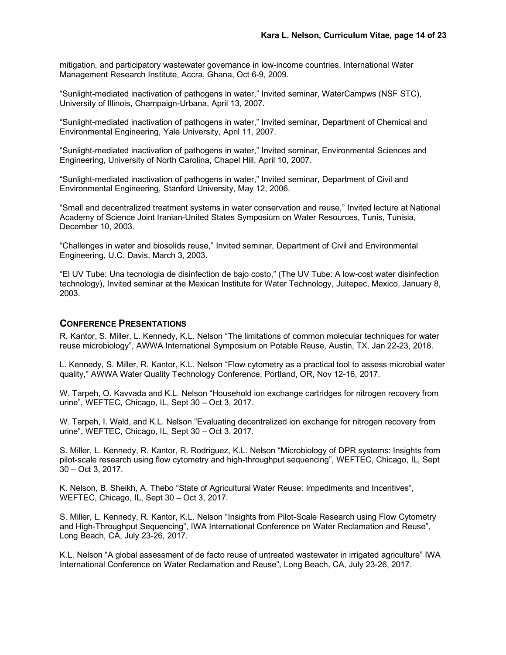mitigation, and participatory wastewater governance in low-income countries, International Water Management Research Institute, Accra, Ghana, Oct 6-9, 2009.

"Sunlight-mediated inactivation of pathogens in water," Invited seminar, WaterCampws (NSF STC), University of Illinois, Champaign-Urbana, April 13, 2007.

"Sunlight-mediated inactivation of pathogens in water," Invited seminar, Department of Chemical and Environmental Engineering, Yale University, April 11, 2007.

"Sunlight-mediated inactivation of pathogens in water," Invited seminar, Environmental Sciences and Engineering, University of North Carolina, Chapel Hill, April 10, 2007.

"Sunlight-mediated inactivation of pathogens in water," Invited seminar, Department of Civil and Environmental Engineering, Stanford University, May 12, 2006.

"Small and decentralized treatment systems in water conservation and reuse," Invited lecture at National Academy of Science Joint Iranian-United States Symposium on Water Resources, Tunis, Tunisia, December 10, 2003.

"Challenges in water and biosolids reuse," Invited seminar, Department of Civil and Environmental Engineering, U.C. Davis, March 3, 2003.

"El UV Tube: Una tecnologia de disinfection de bajo costo," (The UV Tube: A low-cost water disinfection technology), Invited seminar at the Mexican Institute for Water Technology, Juitepec, Mexico, January 8, 2003.

#### **CONFERENCE PRESENTATIONS**

R. Kantor, S. Miller, L. Kennedy, K.L. Nelson "The limitations of common molecular techniques for water reuse microbiology", AWWA International Symposium on Potable Reuse, Austin, TX, Jan 22-23, 2018.

L. Kennedy, S. Miller, R. Kantor, K.L. Nelson "Flow cytometry as a practical tool to assess microbial water quality," AWWA Water Quality Technology Conference, Portland, OR, Nov 12-16, 2017.

W. Tarpeh, O. Kavvada and K.L. Nelson "Household ion exchange cartridges for nitrogen recovery from urine", WEFTEC, Chicago, IL, Sept 30 – Oct 3, 2017.

W. Tarpeh, I. Wald, and K.L. Nelson "Evaluating decentralized ion exchange for nitrogen recovery from urine", WEFTEC, Chicago, IL, Sept 30 – Oct 3, 2017.

S. Miller, L. Kennedy, R. Kantor, R. Rodriguez, K.L. Nelson "Microbiology of DPR systems: Insights from pilot-scale research using flow cytometry and high-throughput sequencing", WEFTEC, Chicago, IL, Sept 30 – Oct 3, 2017.

K. Nelson, B. Sheikh, A. Thebo "State of Agricultural Water Reuse: Impediments and Incentives", WEFTEC, Chicago, IL, Sept 30 – Oct 3, 2017.

S. Miller, L. Kennedy, R. Kantor, K.L. Nelson "Insights from Pilot-Scale Research using Flow Cytometry and High-Throughput Sequencing", IWA International Conference on Water Reclamation and Reuse", Long Beach, CA, July 23-26, 2017.

K.L. Nelson "A global assessment of de facto reuse of untreated wastewater in irrigated agriculture" IWA International Conference on Water Reclamation and Reuse", Long Beach, CA, July 23-26, 2017.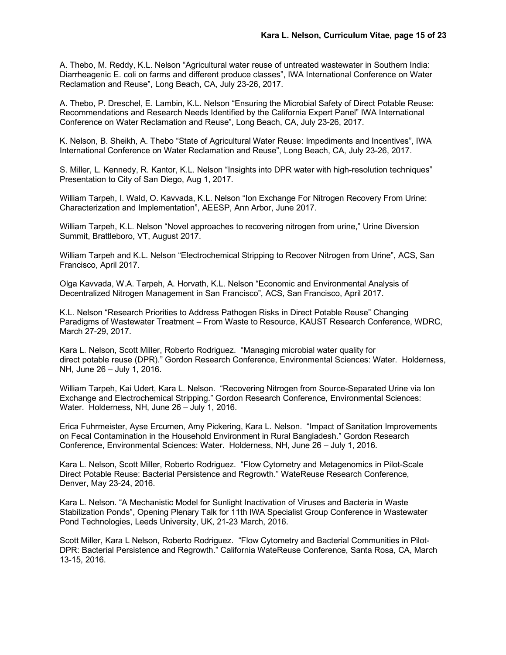A. Thebo, M. Reddy, K.L. Nelson "Agricultural water reuse of untreated wastewater in Southern India: Diarrheagenic E. coli on farms and different produce classes", IWA International Conference on Water Reclamation and Reuse", Long Beach, CA, July 23-26, 2017.

A. Thebo, P. Dreschel, E. Lambin, K.L. Nelson "Ensuring the Microbial Safety of Direct Potable Reuse: Recommendations and Research Needs Identified by the California Expert Panel" IWA International Conference on Water Reclamation and Reuse", Long Beach, CA, July 23-26, 2017.

K. Nelson, B. Sheikh, A. Thebo "State of Agricultural Water Reuse: Impediments and Incentives", IWA International Conference on Water Reclamation and Reuse", Long Beach, CA, July 23-26, 2017.

S. Miller, L. Kennedy, R. Kantor, K.L. Nelson "Insights into DPR water with high-resolution techniques" Presentation to City of San Diego, Aug 1, 2017.

William Tarpeh, I. Wald, O. Kavvada, K.L. Nelson "Ion Exchange For Nitrogen Recovery From Urine: Characterization and Implementation", AEESP, Ann Arbor, June 2017.

William Tarpeh, K.L. Nelson "Novel approaches to recovering nitrogen from urine," Urine Diversion Summit, Brattleboro, VT, August 2017.

William Tarpeh and K.L. Nelson "Electrochemical Stripping to Recover Nitrogen from Urine", ACS, San Francisco, April 2017.

Olga Kavvada, W.A. Tarpeh, A. Horvath, K.L. Nelson "Economic and Environmental Analysis of Decentralized Nitrogen Management in San Francisco", ACS, San Francisco, April 2017.

K.L. Nelson "Research Priorities to Address Pathogen Risks in Direct Potable Reuse" Changing Paradigms of Wastewater Treatment – From Waste to Resource, KAUST Research Conference, WDRC, March 27-29, 2017.

Kara L. Nelson, Scott Miller, Roberto Rodriguez. "Managing microbial water quality for direct potable reuse (DPR)." Gordon Research Conference, Environmental Sciences: Water. Holderness, NH, June 26 – July 1, 2016.

William Tarpeh, Kai Udert, Kara L. Nelson. "Recovering Nitrogen from Source-Separated Urine via Ion Exchange and Electrochemical Stripping." Gordon Research Conference, Environmental Sciences: Water. Holderness, NH, June 26 – July 1, 2016.

Erica Fuhrmeister, Ayse Ercumen, Amy Pickering, Kara L. Nelson. "Impact of Sanitation Improvements on Fecal Contamination in the Household Environment in Rural Bangladesh." Gordon Research Conference, Environmental Sciences: Water. Holderness, NH, June 26 – July 1, 2016.

Kara L. Nelson, Scott Miller, Roberto Rodriguez. "Flow Cytometry and Metagenomics in Pilot-Scale Direct Potable Reuse: Bacterial Persistence and Regrowth." WateReuse Research Conference, Denver, May 23-24, 2016.

Kara L. Nelson. "A Mechanistic Model for Sunlight Inactivation of Viruses and Bacteria in Waste Stabilization Ponds", Opening Plenary Talk for 11th IWA Specialist Group Conference in Wastewater Pond Technologies, Leeds University, UK, 21-23 March, 2016.

Scott Miller, Kara L Nelson, Roberto Rodriguez. "Flow Cytometry and Bacterial Communities in Pilot-DPR: Bacterial Persistence and Regrowth." California WateReuse Conference, Santa Rosa, CA, March 13-15, 2016.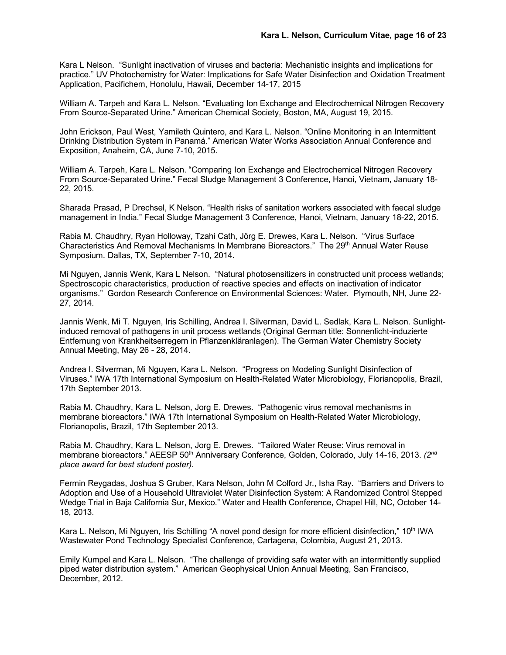Kara L Nelson. "Sunlight inactivation of viruses and bacteria: Mechanistic insights and implications for practice." UV Photochemistry for Water: Implications for Safe Water Disinfection and Oxidation Treatment Application, Pacifichem, Honolulu, Hawaii, December 14-17, 2015

William A. Tarpeh and Kara L. Nelson. "Evaluating Ion Exchange and Electrochemical Nitrogen Recovery From Source-Separated Urine." American Chemical Society, Boston, MA, August 19, 2015.

John Erickson, Paul West, Yamileth Quintero, and Kara L. Nelson. "Online Monitoring in an Intermittent Drinking Distribution System in Panamá." American Water Works Association Annual Conference and Exposition, Anaheim, CA, June 7-10, 2015.

William A. Tarpeh, Kara L. Nelson. "Comparing Ion Exchange and Electrochemical Nitrogen Recovery From Source-Separated Urine." Fecal Sludge Management 3 Conference, Hanoi, Vietnam, January 18- 22, 2015.

Sharada Prasad, P Drechsel, K Nelson. "Health risks of sanitation workers associated with faecal sludge management in India." Fecal Sludge Management 3 Conference, Hanoi, Vietnam, January 18-22, 2015.

Rabia M. Chaudhry, Ryan Holloway, Tzahi Cath, Jörg E. Drewes, Kara L. Nelson. "Virus Surface Characteristics And Removal Mechanisms In Membrane Bioreactors." The 29<sup>th</sup> Annual Water Reuse Symposium. Dallas, TX, September 7-10, 2014.

Mi Nguyen, Jannis Wenk, Kara L Nelson. "Natural photosensitizers in constructed unit process wetlands; Spectroscopic characteristics, production of reactive species and effects on inactivation of indicator organisms." Gordon Research Conference on Environmental Sciences: Water. Plymouth, NH, June 22- 27, 2014.

Jannis Wenk, Mi T. Nguyen, Iris Schilling, Andrea I. Silverman, David L. Sedlak, Kara L. Nelson. Sunlightinduced removal of pathogens in unit process wetlands (Original German title: Sonnenlicht-induzierte Entfernung von Krankheitserregern in Pflanzenkläranlagen). The German Water Chemistry Society Annual Meeting, May 26 - 28, 2014.

Andrea I. Silverman, Mi Nguyen, Kara L. Nelson. "Progress on Modeling Sunlight Disinfection of Viruses." IWA 17th International Symposium on Health-Related Water Microbiology, Florianopolis, Brazil, 17th September 2013.

Rabia M. Chaudhry, Kara L. Nelson, Jorg E. Drewes. "Pathogenic virus removal mechanisms in membrane bioreactors." IWA 17th International Symposium on Health-Related Water Microbiology, Florianopolis, Brazil, 17th September 2013.

Rabia M. Chaudhry, Kara L. Nelson, Jorg E. Drewes. "Tailored Water Reuse: Virus removal in membrane bioreactors." AEESP 50<sup>th</sup> Anniversary Conference, Golden, Colorado, July 14-16, 2013. *(2<sup>nd</sup> place award for best student poster).*

Fermin Reygadas, Joshua S Gruber, Kara Nelson, John M Colford Jr., Isha Ray. "Barriers and Drivers to Adoption and Use of a Household Ultraviolet Water Disinfection System: A Randomized Control Stepped Wedge Trial in Baja California Sur, Mexico." Water and Health Conference, Chapel Hill, NC, October 14- 18, 2013.

Kara L. Nelson, Mi Nguyen, Iris Schilling "A novel pond design for more efficient disinfection," 10<sup>th</sup> IWA Wastewater Pond Technology Specialist Conference, Cartagena, Colombia, August 21, 2013.

Emily Kumpel and Kara L. Nelson. "The challenge of providing safe water with an intermittently supplied piped water distribution system." American Geophysical Union Annual Meeting, San Francisco, December, 2012.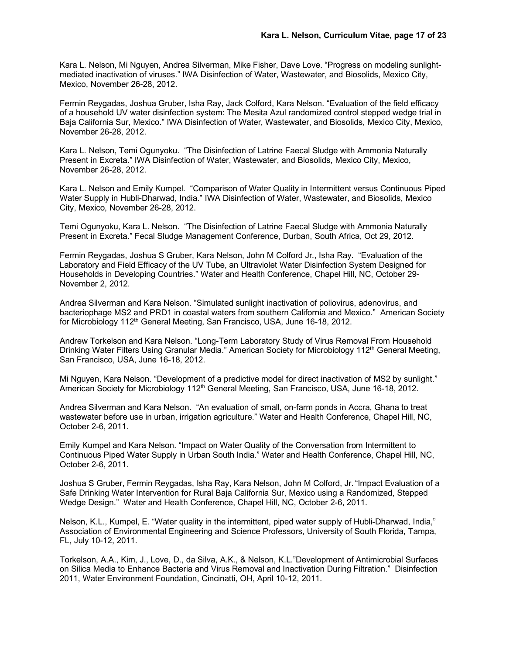Kara L. Nelson, Mi Nguyen, Andrea Silverman, Mike Fisher, Dave Love. "Progress on modeling sunlightmediated inactivation of viruses." IWA Disinfection of Water, Wastewater, and Biosolids, Mexico City, Mexico, November 26-28, 2012.

Fermin Reygadas, Joshua Gruber, Isha Ray, Jack Colford, Kara Nelson. "Evaluation of the field efficacy of a household UV water disinfection system: The Mesita Azul randomized control stepped wedge trial in Baja California Sur, Mexico." IWA Disinfection of Water, Wastewater, and Biosolids, Mexico City, Mexico, November 26-28, 2012.

Kara L. Nelson, Temi Ogunyoku. "The Disinfection of Latrine Faecal Sludge with Ammonia Naturally Present in Excreta." IWA Disinfection of Water, Wastewater, and Biosolids, Mexico City, Mexico, November 26-28, 2012.

Kara L. Nelson and Emily Kumpel. "Comparison of Water Quality in Intermittent versus Continuous Piped Water Supply in Hubli-Dharwad, India." IWA Disinfection of Water, Wastewater, and Biosolids, Mexico City, Mexico, November 26-28, 2012.

Temi Ogunyoku, Kara L. Nelson. "The Disinfection of Latrine Faecal Sludge with Ammonia Naturally Present in Excreta." Fecal Sludge Management Conference, Durban, South Africa, Oct 29, 2012.

Fermin Reygadas, Joshua S Gruber, Kara Nelson, John M Colford Jr., Isha Ray. "Evaluation of the Laboratory and Field Efficacy of the UV Tube, an Ultraviolet Water Disinfection System Designed for Households in Developing Countries." Water and Health Conference, Chapel Hill, NC, October 29- November 2, 2012.

Andrea Silverman and Kara Nelson. "Simulated sunlight inactivation of poliovirus, adenovirus, and bacteriophage MS2 and PRD1 in coastal waters from southern California and Mexico." American Society for Microbiology 112<sup>th</sup> General Meeting, San Francisco, USA, June 16-18, 2012.

Andrew Torkelson and Kara Nelson. "Long-Term Laboratory Study of Virus Removal From Household Drinking Water Filters Using Granular Media." American Society for Microbiology 112<sup>th</sup> General Meeting, San Francisco, USA, June 16-18, 2012.

Mi Nguyen, Kara Nelson. "Development of a predictive model for direct inactivation of MS2 by sunlight." American Society for Microbiology 112<sup>th</sup> General Meeting, San Francisco, USA, June 16-18, 2012.

Andrea Silverman and Kara Nelson. "An evaluation of small, on-farm ponds in Accra, Ghana to treat wastewater before use in urban, irrigation agriculture." Water and Health Conference, Chapel Hill, NC, October 2-6, 2011.

Emily Kumpel and Kara Nelson. "Impact on Water Quality of the Conversation from Intermittent to Continuous Piped Water Supply in Urban South India." Water and Health Conference, Chapel Hill, NC, October 2-6, 2011.

Joshua S Gruber, Fermin Reygadas, Isha Ray, Kara Nelson, John M Colford, Jr. "Impact Evaluation of a Safe Drinking Water Intervention for Rural Baja California Sur, Mexico using a Randomized, Stepped Wedge Design." Water and Health Conference, Chapel Hill, NC, October 2-6, 2011.

Nelson, K.L., Kumpel, E. "Water quality in the intermittent, piped water supply of Hubli-Dharwad, India," Association of Environmental Engineering and Science Professors, University of South Florida, Tampa, FL, July 10-12, 2011.

Torkelson, A.A., Kim, J., Love, D., da Silva, A.K., & Nelson, K.L."Development of Antimicrobial Surfaces on Silica Media to Enhance Bacteria and Virus Removal and Inactivation During Filtration." Disinfection 2011, Water Environment Foundation, Cincinatti, OH, April 10-12, 2011.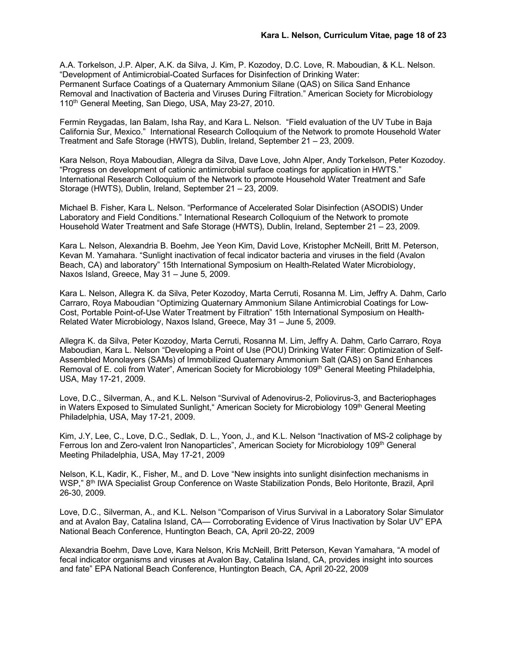A.A. Torkelson, J.P. Alper, A.K. da Silva, J. Kim, P. Kozodoy, D.C. Love, R. Maboudian, & K.L. Nelson. "Development of Antimicrobial-Coated Surfaces for Disinfection of Drinking Water: Permanent Surface Coatings of a Quaternary Ammonium Silane (QAS) on Silica Sand Enhance Removal and Inactivation of Bacteria and Viruses During Filtration." American Society for Microbiology 110<sup>th</sup> General Meeting, San Diego, USA, May 23-27, 2010.

Fermin Reygadas, Ian Balam, Isha Ray, and Kara L. Nelson. "Field evaluation of the UV Tube in Baja California Sur, Mexico." International Research Colloquium of the Network to promote Household Water Treatment and Safe Storage (HWTS), Dublin, Ireland, September 21 – 23, 2009.

Kara Nelson, Roya Maboudian, Allegra da Silva, Dave Love, John Alper, Andy Torkelson, Peter Kozodoy. "Progress on development of cationic antimicrobial surface coatings for application in HWTS." International Research Colloquium of the Network to promote Household Water Treatment and Safe Storage (HWTS), Dublin, Ireland, September 21 – 23, 2009.

Michael B. Fisher, Kara L. Nelson. "Performance of Accelerated Solar Disinfection (ASODIS) Under Laboratory and Field Conditions." International Research Colloquium of the Network to promote Household Water Treatment and Safe Storage (HWTS), Dublin, Ireland, September 21 – 23, 2009.

Kara L. Nelson, Alexandria B. Boehm, Jee Yeon Kim, David Love, Kristopher McNeill, Britt M. Peterson, Kevan M. Yamahara. "Sunlight inactivation of fecal indicator bacteria and viruses in the field (Avalon Beach, CA) and laboratory" 15th International Symposium on Health-Related Water Microbiology, Naxos Island, Greece, May 31 – June 5, 2009.

Kara L. Nelson, Allegra K. da Silva, Peter Kozodoy, Marta Cerruti, Rosanna M. Lim, Jeffry A. Dahm, Carlo Carraro, Roya Maboudian "Optimizing Quaternary Ammonium Silane Antimicrobial Coatings for Low-Cost, Portable Point-of-Use Water Treatment by Filtration" 15th International Symposium on Health-Related Water Microbiology, Naxos Island, Greece, May 31 – June 5, 2009.

Allegra K. da Silva, Peter Kozodoy, Marta Cerruti, Rosanna M. Lim, Jeffry A. Dahm, Carlo Carraro, Roya Maboudian, Kara L. Nelson "Developing a Point of Use (POU) Drinking Water Filter: Optimization of Self-Assembled Monolayers (SAMs) of Immobilized Quaternary Ammonium Salt (QAS) on Sand Enhances Removal of E. coli from Water", American Society for Microbiology 109<sup>th</sup> General Meeting Philadelphia, USA, May 17-21, 2009.

Love, D.C., Silverman, A., and K.L. Nelson "Survival of Adenovirus-2, Poliovirus-3, and Bacteriophages in Waters Exposed to Simulated Sunlight," American Society for Microbiology 109<sup>th</sup> General Meeting Philadelphia, USA, May 17-21, 2009.

Kim, J.Y, Lee, C., Love, D.C., Sedlak, D. L., Yoon, J., and K.L. Nelson "Inactivation of MS-2 coliphage by Ferrous Ion and Zero-valent Iron Nanoparticles", American Society for Microbiology 109<sup>th</sup> General Meeting Philadelphia, USA, May 17-21, 2009

Nelson, K.L, Kadir, K., Fisher, M., and D. Love "New insights into sunlight disinfection mechanisms in WSP," 8th IWA Specialist Group Conference on Waste Stabilization Ponds, Belo Horitonte, Brazil, April 26-30, 2009.

Love, D.C., Silverman, A., and K.L. Nelson "Comparison of Virus Survival in a Laboratory Solar Simulator and at Avalon Bay, Catalina Island, CA— Corroborating Evidence of Virus Inactivation by Solar UV" EPA National Beach Conference, Huntington Beach, CA, April 20-22, 2009

Alexandria Boehm, Dave Love, Kara Nelson, Kris McNeill, Britt Peterson, Kevan Yamahara, "A model of fecal indicator organisms and viruses at Avalon Bay, Catalina Island, CA, provides insight into sources and fate" EPA National Beach Conference, Huntington Beach, CA, April 20-22, 2009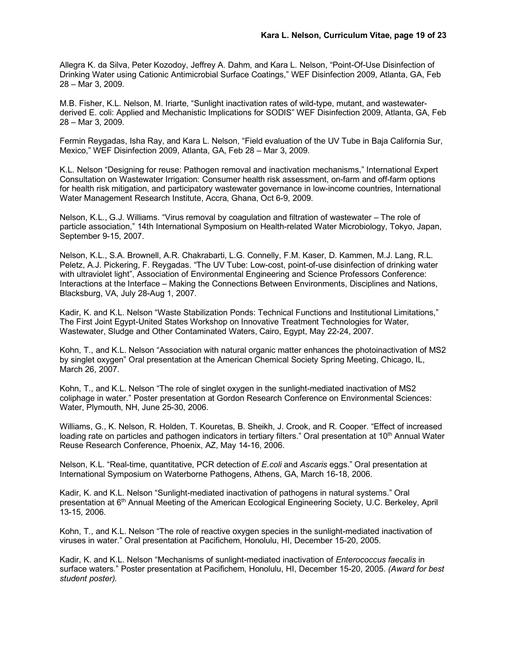Allegra K. da Silva, Peter Kozodoy, Jeffrey A. Dahm, and Kara L. Nelson, "Point-Of-Use Disinfection of Drinking Water using Cationic Antimicrobial Surface Coatings," WEF Disinfection 2009, Atlanta, GA, Feb 28 – Mar 3, 2009.

M.B. Fisher, K.L. Nelson, M. Iriarte, "Sunlight inactivation rates of wild-type, mutant, and wastewaterderived E. coli: Applied and Mechanistic Implications for SODIS" WEF Disinfection 2009, Atlanta, GA, Feb 28 – Mar 3, 2009.

Fermin Reygadas, Isha Ray, and Kara L. Nelson, "Field evaluation of the UV Tube in Baja California Sur, Mexico," WEF Disinfection 2009, Atlanta, GA, Feb 28 – Mar 3, 2009.

K.L. Nelson "Designing for reuse: Pathogen removal and inactivation mechanisms," International Expert Consultation on Wastewater Irrigation: Consumer health risk assessment, on-farm and off-farm options for health risk mitigation, and participatory wastewater governance in low-income countries, International Water Management Research Institute, Accra, Ghana, Oct 6-9, 2009.

Nelson, K.L., G.J. Williams. "Virus removal by coagulation and filtration of wastewater – The role of particle association," 14th International Symposium on Health-related Water Microbiology, Tokyo, Japan, September 9-15, 2007.

Nelson, K.L., S.A. Brownell, A.R. Chakrabarti, L.G. Connelly, F.M. Kaser, D. Kammen, M.J. Lang, R.L. Peletz, A.J. Pickering, F. Reygadas. "The UV Tube: Low-cost, point-of-use disinfection of drinking water with ultraviolet light", Association of Environmental Engineering and Science Professors Conference: Interactions at the Interface – Making the Connections Between Environments, Disciplines and Nations, Blacksburg, VA, July 28-Aug 1, 2007.

Kadir, K. and K.L. Nelson "Waste Stabilization Ponds: Technical Functions and Institutional Limitations," The First Joint Egypt-United States Workshop on Innovative Treatment Technologies for Water, Wastewater, Sludge and Other Contaminated Waters, Cairo, Egypt, May 22-24, 2007.

Kohn, T., and K.L. Nelson "Association with natural organic matter enhances the photoinactivation of MS2 by singlet oxygen" Oral presentation at the American Chemical Society Spring Meeting, Chicago, IL, March 26, 2007.

Kohn, T., and K.L. Nelson "The role of singlet oxygen in the sunlight-mediated inactivation of MS2 coliphage in water." Poster presentation at Gordon Research Conference on Environmental Sciences: Water, Plymouth, NH, June 25-30, 2006.

Williams, G., K. Nelson, R. Holden, T. Kouretas, B. Sheikh, J. Crook, and R. Cooper. "Effect of increased loading rate on particles and pathogen indicators in tertiary filters." Oral presentation at 10<sup>th</sup> Annual Water Reuse Research Conference, Phoenix, AZ, May 14-16, 2006.

Nelson, K.L. "Real-time, quantitative, PCR detection of *E.coli* and *Ascaris* eggs." Oral presentation at International Symposium on Waterborne Pathogens, Athens, GA, March 16-18, 2006.

Kadir, K. and K.L. Nelson "Sunlight-mediated inactivation of pathogens in natural systems." Oral presentation at 6th Annual Meeting of the American Ecological Engineering Society, U.C. Berkeley, April 13-15, 2006.

Kohn, T., and K.L. Nelson "The role of reactive oxygen species in the sunlight-mediated inactivation of viruses in water." Oral presentation at Pacifichem, Honolulu, HI, December 15-20, 2005.

Kadir, K. and K.L. Nelson "Mechanisms of sunlight-mediated inactivation of *Enterococcus faecalis* in surface waters." Poster presentation at Pacifichem, Honolulu, HI, December 15-20, 2005. *(Award for best student poster).*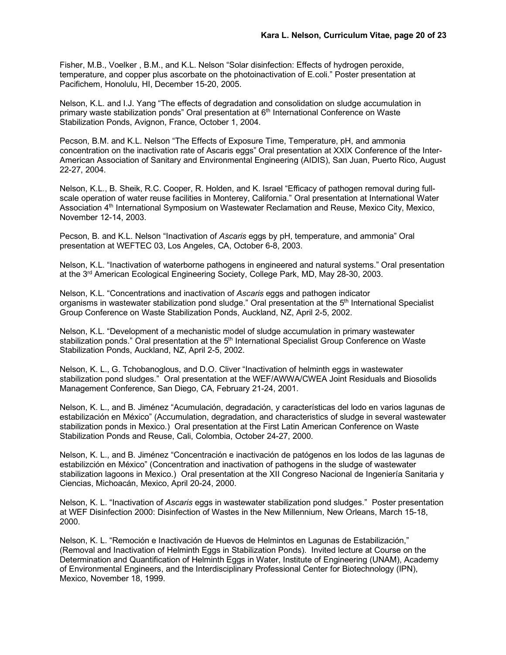Fisher, M.B., Voelker , B.M., and K.L. Nelson "Solar disinfection: Effects of hydrogen peroxide, temperature, and copper plus ascorbate on the photoinactivation of E.coli." Poster presentation at Pacifichem, Honolulu, HI, December 15-20, 2005.

Nelson, K.L. and I.J. Yang "The effects of degradation and consolidation on sludge accumulation in primary waste stabilization ponds" Oral presentation at 6th International Conference on Waste Stabilization Ponds, Avignon, France, October 1, 2004.

Pecson, B.M. and K.L. Nelson "The Effects of Exposure Time, Temperature, pH, and ammonia concentration on the inactivation rate of Ascaris eggs" Oral presentation at XXIX Conference of the Inter-American Association of Sanitary and Environmental Engineering (AIDIS), San Juan, Puerto Rico, August 22-27, 2004.

Nelson, K.L., B. Sheik, R.C. Cooper, R. Holden, and K. Israel "Efficacy of pathogen removal during fullscale operation of water reuse facilities in Monterey, California." Oral presentation at International Water Association 4<sup>th</sup> International Symposium on Wastewater Reclamation and Reuse, Mexico City, Mexico, November 12-14, 2003.

Pecson, B. and K.L. Nelson "Inactivation of *Ascaris* eggs by pH, temperature, and ammonia" Oral presentation at WEFTEC 03, Los Angeles, CA, October 6-8, 2003.

Nelson, K.L. "Inactivation of waterborne pathogens in engineered and natural systems." Oral presentation at the 3rd American Ecological Engineering Society, College Park, MD, May 28-30, 2003.

Nelson, K.L. "Concentrations and inactivation of *Ascaris* eggs and pathogen indicator organisms in wastewater stabilization pond sludge." Oral presentation at the 5<sup>th</sup> International Specialist Group Conference on Waste Stabilization Ponds, Auckland, NZ, April 2-5, 2002.

Nelson, K.L. "Development of a mechanistic model of sludge accumulation in primary wastewater stabilization ponds." Oral presentation at the 5<sup>th</sup> International Specialist Group Conference on Waste Stabilization Ponds, Auckland, NZ, April 2-5, 2002.

Nelson, K. L., G. Tchobanoglous, and D.O. Cliver "Inactivation of helminth eggs in wastewater stabilization pond sludges." Oral presentation at the WEF/AWWA/CWEA Joint Residuals and Biosolids Management Conference, San Diego, CA, February 21-24, 2001.

Nelson, K. L., and B. Jiménez "Acumulación, degradación, y características del lodo en varios lagunas de estabilización en México" (Accumulation, degradation, and characteristics of sludge in several wastewater stabilization ponds in Mexico.) Oral presentation at the First Latin American Conference on Waste Stabilization Ponds and Reuse, Cali, Colombia, October 24-27, 2000.

Nelson, K. L., and B. Jiménez "Concentración e inactivación de patógenos en los lodos de las lagunas de estabilizción en México" (Concentration and inactivation of pathogens in the sludge of wastewater stabilization lagoons in Mexico.) Oral presentation at the XII Congreso Nacional de Ingeniería Sanitaria y Ciencias, Michoacán, Mexico, April 20-24, 2000.

Nelson, K. L. "Inactivation of *Ascaris* eggs in wastewater stabilization pond sludges." Poster presentation at WEF Disinfection 2000: Disinfection of Wastes in the New Millennium, New Orleans, March 15-18, 2000.

Nelson, K. L. "Remoción e Inactivación de Huevos de Helmintos en Lagunas de Estabilización," (Removal and Inactivation of Helminth Eggs in Stabilization Ponds). Invited lecture at Course on the Determination and Quantification of Helminth Eggs in Water, Institute of Engineering (UNAM), Academy of Environmental Engineers, and the Interdisciplinary Professional Center for Biotechnology (IPN), Mexico, November 18, 1999.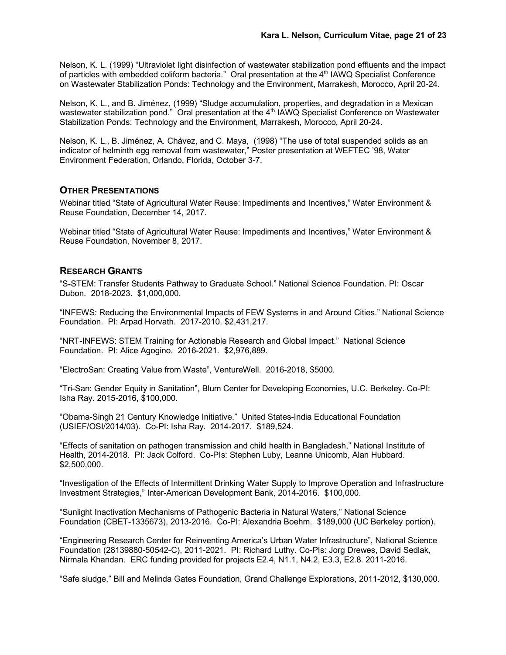Nelson, K. L. (1999) "Ultraviolet light disinfection of wastewater stabilization pond effluents and the impact of particles with embedded coliform bacteria." Oral presentation at the 4<sup>th</sup> IAWQ Specialist Conference on Wastewater Stabilization Ponds: Technology and the Environment, Marrakesh, Morocco, April 20-24.

Nelson, K. L., and B. Jiménez, (1999) "Sludge accumulation, properties, and degradation in a Mexican wastewater stabilization pond." Oral presentation at the 4<sup>th</sup> IAWQ Specialist Conference on Wastewater Stabilization Ponds: Technology and the Environment, Marrakesh, Morocco, April 20-24.

Nelson, K. L., B. Jiménez, A. Chávez, and C. Maya, (1998) "The use of total suspended solids as an indicator of helminth egg removal from wastewater," Poster presentation at WEFTEC '98, Water Environment Federation, Orlando, Florida, October 3-7.

## **OTHER PRESENTATIONS**

Webinar titled "State of Agricultural Water Reuse: Impediments and Incentives," Water Environment & Reuse Foundation, December 14, 2017.

Webinar titled "State of Agricultural Water Reuse: Impediments and Incentives," Water Environment & Reuse Foundation, November 8, 2017.

## **RESEARCH GRANTS**

"S-STEM: Transfer Students Pathway to Graduate School." National Science Foundation. PI: Oscar Dubon. 2018-2023. \$1,000,000.

"INFEWS: Reducing the Environmental Impacts of FEW Systems in and Around Cities." National Science Foundation. PI: Arpad Horvath. 2017-2010. \$2,431,217.

"NRT-INFEWS: STEM Training for Actionable Research and Global Impact." National Science Foundation. PI: Alice Agogino. 2016-2021. \$2,976,889.

"ElectroSan: Creating Value from Waste", VentureWell. 2016-2018, \$5000.

"Tri-San: Gender Equity in Sanitation", Blum Center for Developing Economies, U.C. Berkeley. Co-PI: Isha Ray. 2015-2016, \$100,000.

"Obama-Singh 21 Century Knowledge Initiative." United States-India Educational Foundation (USIEF/OSI/2014/03). Co-PI: Isha Ray. 2014-2017. \$189,524.

"Effects of sanitation on pathogen transmission and child health in Bangladesh," National Institute of Health, 2014-2018. PI: Jack Colford. Co-PIs: Stephen Luby, Leanne Unicomb, Alan Hubbard. \$2,500,000.

"Investigation of the Effects of Intermittent Drinking Water Supply to Improve Operation and Infrastructure Investment Strategies," Inter-American Development Bank, 2014-2016. \$100,000.

"Sunlight Inactivation Mechanisms of Pathogenic Bacteria in Natural Waters," National Science Foundation (CBET-1335673), 2013-2016. Co-PI: Alexandria Boehm. \$189,000 (UC Berkeley portion).

"Engineering Research Center for Reinventing America's Urban Water Infrastructure", National Science Foundation (28139880-50542-C), 2011-2021. PI: Richard Luthy. Co-PIs: Jorg Drewes, David Sedlak, Nirmala Khandan. ERC funding provided for projects E2.4, N1.1, N4.2, E3.3, E2.8. 2011-2016.

"Safe sludge," Bill and Melinda Gates Foundation, Grand Challenge Explorations, 2011-2012, \$130,000.